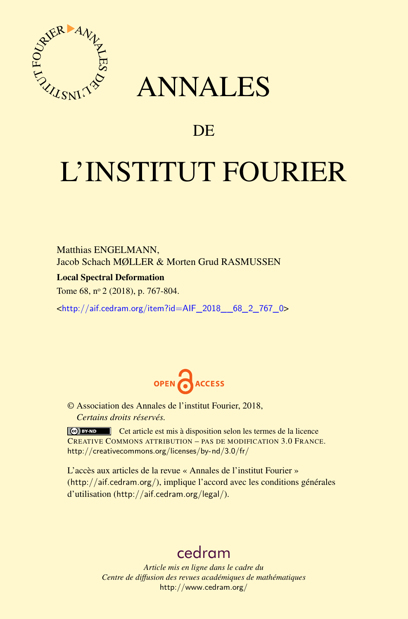

## ANNALES

### **DE**

# L'INSTITUT FOURIER

Matthias ENGELMANN, Jacob Schach MØLLER & Morten Grud RASMUSSEN

Local Spectral Deformation

Tome 68, n<sup>o</sup> 2 (2018), p. 767-804.

<[http://aif.cedram.org/item?id=AIF\\_2018\\_\\_68\\_2\\_767\\_0](http://aif.cedram.org/item?id=AIF_2018__68_2_767_0)>



© Association des Annales de l'institut Fourier, 2018, *Certains droits réservés.*

Cet article est mis à disposition selon les termes de la licence CREATIVE COMMONS ATTRIBUTION – PAS DE MODIFICATION 3.0 FRANCE. <http://creativecommons.org/licenses/by-nd/3.0/fr/>

L'accès aux articles de la revue « Annales de l'institut Fourier » (<http://aif.cedram.org/>), implique l'accord avec les conditions générales d'utilisation (<http://aif.cedram.org/legal/>).

## [cedram](http://www.cedram.org/)

*Article mis en ligne dans le cadre du Centre de diffusion des revues académiques de mathématiques* <http://www.cedram.org/>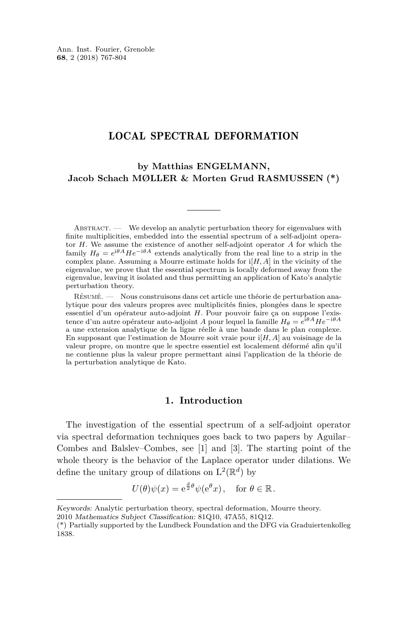#### LOCAL SPECTRAL DEFORMATION

**by Matthias ENGELMANN, Jacob Schach MØLLER & Morten Grud RASMUSSEN (\*)**

ABSTRACT. — We develop an analytic perturbation theory for eigenvalues with finite multiplicities, embedded into the essential spectrum of a self-adjoint operator *H*. We assume the existence of another self-adjoint operator *A* for which the family  $H_{\theta} = e^{i\theta A} H e^{-i\theta A}$  extends analytically from the real line to a strip in the complex plane. Assuming a Mourre estimate holds for  $i[H, A]$  in the vicinity of the eigenvalue, we prove that the essential spectrum is locally deformed away from the eigenvalue, leaving it isolated and thus permitting an application of Kato's analytic perturbation theory.

Résumé. — Nous construisons dans cet article une théorie de perturbation analytique pour des valeurs propres avec multiplicités finies, plongées dans le spectre essentiel d'un opérateur auto-adjoint *H*. Pour pouvoir faire ça on suppose l'existence d'un autre opérateur auto-adjoint *A* pour lequel la famille  $H_{\theta} = e^{i\theta A} H e^{-i\theta A}$ a une extension analytique de la ligne réelle à une bande dans le plan complexe. En supposant que l'estimation de Mourre soit vraie pour i[*H, A*] au voisinage de la valeur propre, on montre que le spectre essentiel est localement déformé afin qu'il ne contienne plus la valeur propre permettant ainsi l'application de la théorie de la perturbation analytique de Kato.

#### **1. Introduction**

The investigation of the essential spectrum of a self-adjoint operator via spectral deformation techniques goes back to two papers by Aguilar– Combes and Balslev–Combes, see [\[1\]](#page-37-0) and [\[3\]](#page-37-1). The starting point of the whole theory is the behavior of the Laplace operator under dilations. We define the unitary group of dilations on  $L^2(\mathbb{R}^d)$  by

$$
U(\theta)\psi(x) = e^{\frac{d}{2}\theta}\psi(e^{\theta}x), \text{ for } \theta \in \mathbb{R}.
$$

Keywords: Analytic perturbation theory, spectral deformation, Mourre theory.

<sup>2010</sup> Mathematics Subject Classification: 81Q10, 47A55, 81Q12.

<sup>(\*)</sup> Partially supported by the Lundbeck Foundation and the DFG via Graduiertenkolleg 1838.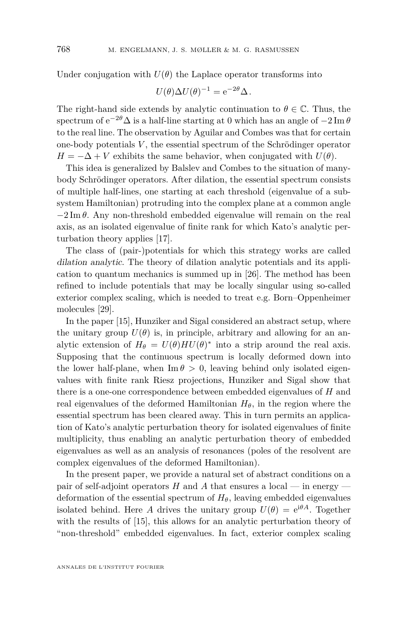Under conjugation with  $U(\theta)$  the Laplace operator transforms into

$$
U(\theta)\Delta U(\theta)^{-1} = e^{-2\theta}\Delta.
$$

The right-hand side extends by analytic continuation to  $\theta \in \mathbb{C}$ . Thus, the spectrum of  $e^{-2\theta} \Delta$  is a half-line starting at 0 which has an angle of  $-2 \text{ Im } \theta$ to the real line. The observation by Aguilar and Combes was that for certain one-body potentials *V* , the essential spectrum of the Schrödinger operator  $H = -\Delta + V$  exhibits the same behavior, when conjugated with  $U(\theta)$ .

This idea is generalized by Balslev and Combes to the situation of manybody Schrödinger operators. After dilation, the essential spectrum consists of multiple half-lines, one starting at each threshold (eigenvalue of a subsystem Hamiltonian) protruding into the complex plane at a common angle  $-2 \text{Im } \theta$ . Any non-threshold embedded eigenvalue will remain on the real axis, as an isolated eigenvalue of finite rank for which Kato's analytic perturbation theory applies [\[17\]](#page-37-2).

The class of (pair-)potentials for which this strategy works are called dilation analytic. The theory of dilation analytic potentials and its application to quantum mechanics is summed up in [\[26\]](#page-38-0). The method has been refined to include potentials that may be locally singular using so-called exterior complex scaling, which is needed to treat e.g. Born–Oppenheimer molecules [\[29\]](#page-38-1).

In the paper [\[15\]](#page-37-3), Hunziker and Sigal considered an abstract setup, where the unitary group  $U(\theta)$  is, in principle, arbitrary and allowing for an analytic extension of  $H_{\theta} = U(\theta)HU(\theta)^*$  into a strip around the real axis. Supposing that the continuous spectrum is locally deformed down into the lower half-plane, when  $\text{Im } \theta > 0$ , leaving behind only isolated eigenvalues with finite rank Riesz projections, Hunziker and Sigal show that there is a one-one correspondence between embedded eigenvalues of *H* and real eigenvalues of the deformed Hamiltonian  $H_{\theta}$ , in the region where the essential spectrum has been cleared away. This in turn permits an application of Kato's analytic perturbation theory for isolated eigenvalues of finite multiplicity, thus enabling an analytic perturbation theory of embedded eigenvalues as well as an analysis of resonances (poles of the resolvent are complex eigenvalues of the deformed Hamiltonian).

In the present paper, we provide a natural set of abstract conditions on a pair of self-adjoint operators *H* and *A* that ensures a local — in energy deformation of the essential spectrum of  $H_\theta$ , leaving embedded eigenvalues isolated behind. Here *A* drives the unitary group  $U(\theta) = e^{i\theta A}$ . Together with the results of [\[15\]](#page-37-3), this allows for an analytic perturbation theory of "non-threshold" embedded eigenvalues. In fact, exterior complex scaling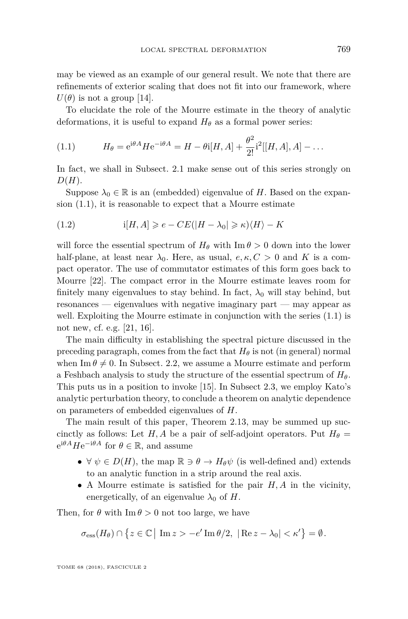may be viewed as an example of our general result. We note that there are refinements of exterior scaling that does not fit into our framework, where  $U(\theta)$  is not a group [\[14\]](#page-37-4).

To elucidate the role of the Mourre estimate in the theory of analytic deformations, it is useful to expand  $H_{\theta}$  as a formal power series:

<span id="page-3-0"></span>(1.1) 
$$
H_{\theta} = e^{i\theta A} H e^{-i\theta A} = H - \theta i [H, A] + \frac{\theta^2}{2!} i^2 [[H, A], A] - \dots
$$

In fact, we shall in Subsect. [2.1](#page-6-0) make sense out of this series strongly on *D*(*H*).

Suppose  $\lambda_0 \in \mathbb{R}$  is an (embedded) eigenvalue of *H*. Based on the expansion [\(1.1\)](#page-3-0), it is reasonable to expect that a Mourre estimate

<span id="page-3-1"></span>(1.2) 
$$
i[H, A] \geq e - CE(|H - \lambda_0| \geq \kappa) \langle H \rangle - K
$$

will force the essential spectrum of  $H_{\theta}$  with  $\text{Im } \theta > 0$  down into the lower half-plane, at least near  $\lambda_0$ . Here, as usual,  $e, \kappa, C > 0$  and K is a compact operator. The use of commutator estimates of this form goes back to Mourre [\[22\]](#page-37-5). The compact error in the Mourre estimate leaves room for finitely many eigenvalues to stay behind. In fact,  $\lambda_0$  will stay behind, but resonances — eigenvalues with negative imaginary part — may appear as well. Exploiting the Mourre estimate in conjunction with the series  $(1.1)$  is not new, cf. e.g. [\[21,](#page-37-6) [16\]](#page-37-7).

The main difficulty in establishing the spectral picture discussed in the preceding paragraph, comes from the fact that  $H_\theta$  is not (in general) normal when Im  $\theta \neq 0$ . In Subsect. [2.2,](#page-13-0) we assume a Mourre estimate and perform a Feshbach analysis to study the structure of the essential spectrum of *Hθ*. This puts us in a position to invoke [\[15\]](#page-37-3). In Subsect [2.3,](#page-21-0) we employ Kato's analytic perturbation theory, to conclude a theorem on analytic dependence on parameters of embedded eigenvalues of *H*.

The main result of this paper, Theorem [2.13,](#page-18-0) may be summed up succinctly as follows: Let  $H, A$  be a pair of self-adjoint operators. Put  $H_{\theta}$  =  $e^{i\theta A} H e^{-i\theta A}$  for  $\theta \in \mathbb{R}$ , and assume

- $\forall \psi \in D(H)$ , the map  $\mathbb{R} \ni \theta \to H_{\theta} \psi$  (is well-defined and) extends to an analytic function in a strip around the real axis.
- A Mourre estimate is satisfied for the pair *H, A* in the vicinity, energetically, of an eigenvalue  $\lambda_0$  of *H*.

Then, for  $\theta$  with Im  $\theta > 0$  not too large, we have

$$
\sigma_{\rm ess}(H_\theta) \cap \left\{ z \in \mathbb{C} \, \middle| \, \operatorname{Im} z > -e' \operatorname{Im} \theta/2, \, \left| \operatorname{Re} z - \lambda_0 \right| < \kappa' \right\} = \emptyset.
$$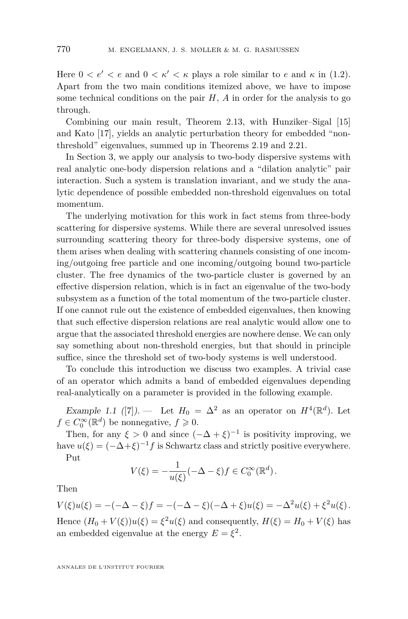Here  $0 < e' < e$  and  $0 < \kappa' < \kappa$  plays a role similar to *e* and  $\kappa$  in [\(1.2\)](#page-3-1). Apart from the two main conditions itemized above, we have to impose some technical conditions on the pair *H*, *A* in order for the analysis to go through.

Combining our main result, Theorem [2.13,](#page-18-0) with Hunziker–Sigal [\[15\]](#page-37-3) and Kato [\[17\]](#page-37-2), yields an analytic perturbation theory for embedded "nonthreshold" eigenvalues, summed up in Theorems [2.19](#page-22-0) and [2.21.](#page-23-0)

In Section [3,](#page-24-0) we apply our analysis to two-body dispersive systems with real analytic one-body dispersion relations and a "dilation analytic" pair interaction. Such a system is translation invariant, and we study the analytic dependence of possible embedded non-threshold eigenvalues on total momentum.

The underlying motivation for this work in fact stems from three-body scattering for dispersive systems. While there are several unresolved issues surrounding scattering theory for three-body dispersive systems, one of them arises when dealing with scattering channels consisting of one incoming/outgoing free particle and one incoming/outgoing bound two-particle cluster. The free dynamics of the two-particle cluster is governed by an effective dispersion relation, which is in fact an eigenvalue of the two-body subsystem as a function of the total momentum of the two-particle cluster. If one cannot rule out the existence of embedded eigenvalues, then knowing that such effective dispersion relations are real analytic would allow one to argue that the associated threshold energies are nowhere dense. We can only say something about non-threshold energies, but that should in principle suffice, since the threshold set of two-body systems is well understood.

To conclude this introduction we discuss two examples. A trivial case of an operator which admits a band of embedded eigenvalues depending real-analytically on a parameter is provided in the following example.

Example 1.1 ([\[7\]](#page-37-8)). — Let  $H_0 = \Delta^2$  as an operator on  $H^4(\mathbb{R}^d)$ . Let  $f \in C_0^{\infty}(\mathbb{R}^d)$  be nonnegative,  $f \geqslant 0$ .

Then, for any  $\xi > 0$  and since  $(-\Delta + \xi)^{-1}$  is positivity improving, we have  $u(\xi) = (-\Delta + \xi)^{-1} f$  is Schwartz class and strictly positive everywhere. Put

$$
V(\xi) = -\frac{1}{u(\xi)} (-\Delta - \xi) f \in C_0^{\infty}(\mathbb{R}^d).
$$

Then

 $V(\xi)u(\xi) = -(-\Delta - \xi)f = -(-\Delta - \xi)(-\Delta + \xi)u(\xi) = -\Delta^2u(\xi) + \xi^2u(\xi)$ .

Hence  $(H_0 + V(\xi))u(\xi) = \xi^2u(\xi)$  and consequently,  $H(\xi) = H_0 + V(\xi)$  has an embedded eigenvalue at the energy  $E = \xi^2$ .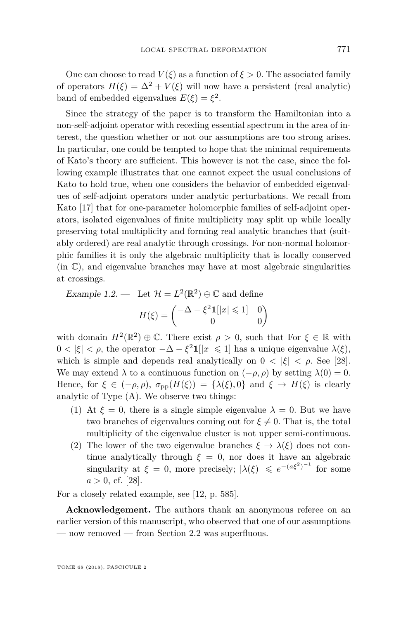One can choose to read  $V(\xi)$  as a function of  $\xi > 0$ . The associated family of operators  $H(\xi) = \Delta^2 + V(\xi)$  will now have a persistent (real analytic) band of embedded eigenvalues  $E(\xi) = \xi^2$ .

Since the strategy of the paper is to transform the Hamiltonian into a non-self-adjoint operator with receding essential spectrum in the area of interest, the question whether or not our assumptions are too strong arises. In particular, one could be tempted to hope that the minimal requirements of Kato's theory are sufficient. This however is not the case, since the following example illustrates that one cannot expect the usual conclusions of Kato to hold true, when one considers the behavior of embedded eigenvalues of self-adjoint operators under analytic perturbations. We recall from Kato [\[17\]](#page-37-2) that for one-parameter holomorphic families of self-adjoint operators, isolated eigenvalues of finite multiplicity may split up while locally preserving total multiplicity and forming real analytic branches that (suitably ordered) are real analytic through crossings. For non-normal holomorphic families it is only the algebraic multiplicity that is locally conserved  $(in \mathbb{C})$ , and eigenvalue branches may have at most algebraic singularities at crossings.

<span id="page-5-0"></span>Example 1.2. — Let  $\mathcal{H} = L^2(\mathbb{R}^2) \oplus \mathbb{C}$  and define

$$
H(\xi) = \begin{pmatrix} -\Delta - \xi^2 \mathbf{1}[|x| \leq 1] & 0\\ 0 & 0 \end{pmatrix}
$$

with domain  $H^2(\mathbb{R}^2) \oplus \mathbb{C}$ . There exist  $\rho > 0$ , such that For  $\xi \in \mathbb{R}$  with  $0 < |\xi| < \rho$ , the operator  $-\Delta - \xi^2 \mathbf{1}[[x] \leq 1]$  has a unique eigenvalue  $\lambda(\xi)$ , which is simple and depends real analytically on  $0 < |\xi| < \rho$ . See [\[28\]](#page-38-2). We may extend  $\lambda$  to a continuous function on  $(-\rho, \rho)$  by setting  $\lambda(0) = 0$ . Hence, for  $\xi \in (-\rho, \rho)$ ,  $\sigma_{\text{nn}}(H(\xi)) = {\lambda(\xi), 0}$  and  $\xi \to H(\xi)$  is clearly analytic of Type (A). We observe two things:

- (1) At  $\xi = 0$ , there is a single simple eigenvalue  $\lambda = 0$ . But we have two branches of eigenvalues coming out for  $\xi \neq 0$ . That is, the total multiplicity of the eigenvalue cluster is not upper semi-continuous.
- (2) The lower of the two eigenvalue branches  $\xi \to \lambda(\xi)$  does not continue analytically through  $\xi = 0$ , nor does it have an algebraic singularity at  $\xi = 0$ , more precisely;  $|\lambda(\xi)| \leq e^{-(a\xi^2)^{-1}}$  for some  $a > 0$ , cf. [\[28\]](#page-38-2).

For a closely related example, see [\[12,](#page-37-9) p. 585].

**Acknowledgement.** The authors thank an anonymous referee on an earlier version of this manuscript, who observed that one of our assumptions — now removed — from Section [2.2](#page-13-0) was superfluous.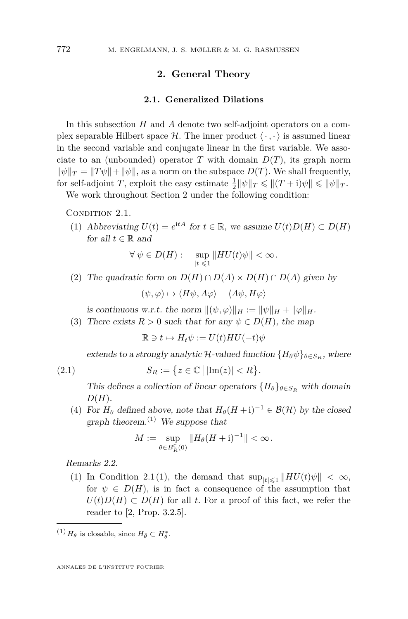#### **2. General Theory**

#### **2.1. Generalized Dilations**

<span id="page-6-1"></span><span id="page-6-0"></span>In this subsection *H* and *A* denote two self-adjoint operators on a complex separable Hilbert space  $\mathcal{H}$ . The inner product  $\langle \cdot, \cdot \rangle$  is assumed linear in the second variable and conjugate linear in the first variable. We associate to an (unbounded) operator *T* with domain  $D(T)$ , its graph norm  $\|\psi\|_T = \|T\psi\| + \|\psi\|$ , as a norm on the subspace  $D(T)$ . We shall frequently, for self-adjoint *T*, exploit the easy estimate  $\frac{1}{2} ||\psi||_T \le ||(T+i)\psi|| \le ||\psi||_T$ .

We work throughout Section [2](#page-6-1) under the following condition:

#### <span id="page-6-3"></span><span id="page-6-2"></span>CONDITION 2.1.

(1) Abbreviating  $U(t) = e^{itA}$  for  $t \in \mathbb{R}$ , we assume  $U(t)D(H) \subset D(H)$ for all  $t \in \mathbb{R}$  and

$$
\forall \ \psi \in D(H): \quad \sup_{|t| \leq 1} \|HU(t)\psi\| < \infty \, .
$$

<span id="page-6-4"></span>(2) The quadratic form on  $D(H) \cap D(A) \times D(H) \cap D(A)$  given by

 $(\psi, \varphi) \mapsto \langle H\psi, A\varphi \rangle - \langle A\psi, H\varphi \rangle$ 

is continuous w.r.t. the norm  $\|(\psi, \varphi)\|_H := \|\psi\|_H + \|\varphi\|_H$ .

<span id="page-6-5"></span>(3) There exists  $R > 0$  such that for any  $\psi \in D(H)$ , the map

 $\mathbb{R} \ni t \mapsto H_t \psi := U(t) H U(-t) \psi$ 

extends to a strongly analytic H-valued function  ${H_{\theta}\psi}_{\theta \in S_{\mathcal{P}}}$ , where

(2.1) 
$$
S_R := \left\{ z \in \mathbb{C} \, \middle| \, |\text{Im}(z)| < R \right\}.
$$

This defines a collection of linear operators  ${H_{\theta}}_{\theta \in S_R}$  with domain *D*(*H*).

<span id="page-6-6"></span>(4) For  $H_{\theta}$  defined above, note that  $H_{\theta}(H + i)^{-1} \in \mathcal{B}(\mathcal{H})$  by the closed graph theorem.<sup>(1)</sup> We suppose that

$$
M := \sup_{\theta \in B_R^{\mathbb{C}}(0)} \|H_{\theta}(H + \mathrm{i})^{-1}\| < \infty.
$$

<span id="page-6-7"></span>Remarks 2.2.

(1) In Condition [2.1](#page-6-2)[\(1\)](#page-6-3), the demand that  $\sup_{|t| \leq 1} ||HU(t)\psi|| < \infty$ , for  $\psi \in D(H)$ , is in fact a consequence of the assumption that  $U(t)D(H) \subset D(H)$  for all *t*. For a proof of this fact, we refer the reader to [\[2,](#page-37-10) Prop. 3.2.5].

 $^{(1)}H_{\theta}$  is closable, since  $H_{\bar{\theta}} \subset H_{\theta}^*$ .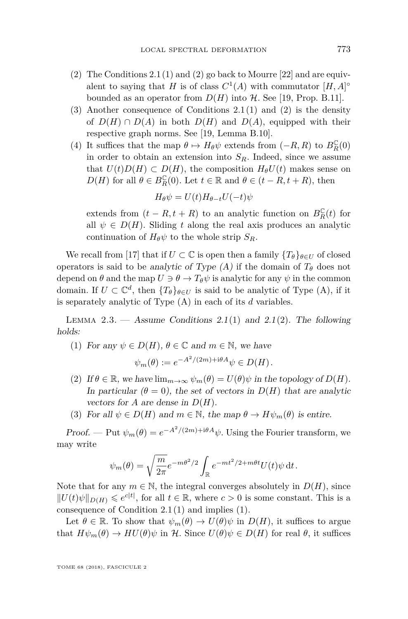- [\(2\)](#page-6-4) The Conditions  $2.1(1)$  $2.1(1)$  and (2) go back to Mourre [\[22\]](#page-37-5) and are equivalent to saying that *H* is of class  $C^1(A)$  with commutator  $[H, A]^\circ$ bounded as an operator from  $D(H)$  into  $H$ . See [\[19,](#page-37-11) Prop. B.11].
- (3) Another consequence of Conditions [2.1](#page-6-2)[\(1\)](#page-6-3) and [\(2\)](#page-6-4) is the density of  $D(H) \cap D(A)$  in both  $D(H)$  and  $D(A)$ , equipped with their respective graph norms. See [\[19,](#page-37-11) Lemma B.10].
- <span id="page-7-3"></span>(4) It suffices that the map  $\theta \mapsto H_{\theta}\psi$  extends from  $(-R, R)$  to  $B_R^{\mathbb{C}}(0)$ in order to obtain an extension into  $S_R$ . Indeed, since we assume that  $U(t)D(H) \subset D(H)$ , the composition  $H_{\theta}U(t)$  makes sense on *D*(*H*) for all  $\theta \in B_R^{\mathbb{C}}(0)$ . Let  $t \in \mathbb{R}$  and  $\theta \in (t - R, t + R)$ , then

$$
H_{\theta}\psi = U(t)H_{\theta-t}U(-t)\psi
$$

extends from  $(t - R, t + R)$  to an analytic function on  $B_R^{\mathbb{C}}(t)$  for all  $\psi \in D(H)$ . Sliding *t* along the real axis produces an analytic continuation of  $H_{\theta}\psi$  to the whole strip  $S_R$ .

We recall from [\[17\]](#page-37-2) that if  $U \subset \mathbb{C}$  is open then a family  $\{T_{\theta}\}_{{\theta \in U}}$  of closed operators is said to be analytic of Type  $(A)$  if the domain of  $T_{\theta}$  does not depend on  $\theta$  and the map  $U \ni \theta \rightarrow T_{\theta} \psi$  is analytic for any  $\psi$  in the common domain. If  $U \subset \mathbb{C}^d$ , then  $\{T_{\theta}\}_{\theta \in U}$  is said to be analytic of Type (A), if it is separately analytic of Type (A) in each of its *d* variables.

<span id="page-7-4"></span>LEMMA 2.3. — Assume Conditions [2.1](#page-6-2)[\(1\)](#page-6-3) and 2.1[\(2\)](#page-6-4). The following holds:

<span id="page-7-0"></span>(1) For any  $\psi \in D(H)$ ,  $\theta \in \mathbb{C}$  and  $m \in \mathbb{N}$ , we have

$$
\psi_m(\theta) := e^{-A^2/(2m) + i\theta A} \psi \in D(H).
$$

- <span id="page-7-1"></span>(2) If  $\theta \in \mathbb{R}$ , we have  $\lim_{m \to \infty} \psi_m(\theta) = U(\theta)\psi$  in the topology of  $D(H)$ . In particular  $(\theta = 0)$ , the set of vectors in  $D(H)$  that are analytic vectors for *A* are dense in  $D(H)$ .
- <span id="page-7-2"></span>(3) For all  $\psi \in D(H)$  and  $m \in \mathbb{N}$ , the map  $\theta \to H\psi_m(\theta)$  is entire.

Proof. — Put  $\psi_m(\theta) = e^{-A^2/(2m) + i\theta A} \psi$ . Using the Fourier transform, we may write

$$
\psi_m(\theta) = \sqrt{\frac{m}{2\pi}} e^{-m\theta^2/2} \int_{\mathbb{R}} e^{-mt^2/2 + m\theta t} U(t) \psi dt.
$$

Note that for any  $m \in \mathbb{N}$ , the integral converges absolutely in  $D(H)$ , since  $||U(t)\psi||_{D(H)} \leq e^{c|t|}$ , for all  $t \in \mathbb{R}$ , where  $c > 0$  is some constant. This is a consequence of Condition [2.1](#page-6-2)[\(1\)](#page-6-3) and implies [\(1\)](#page-7-0).

Let  $\theta \in \mathbb{R}$ . To show that  $\psi_m(\theta) \to U(\theta)\psi$  in  $D(H)$ , it suffices to argue that  $H\psi_m(\theta) \to H\psi(\theta)\psi$  in H. Since  $U(\theta)\psi \in D(H)$  for real  $\theta$ , it suffices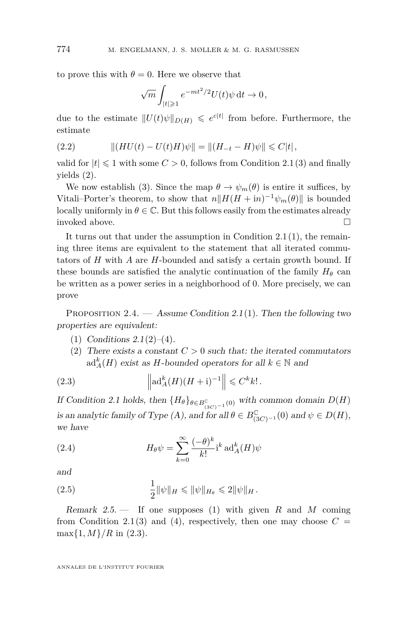to prove this with  $\theta = 0$ . Here we observe that

$$
\sqrt{m} \int_{|t| \geqslant 1} e^{-mt^2/2} U(t) \psi \, \mathrm{d}t \to 0,
$$

due to the estimate  $||U(t)\psi||_{D(H)} \leqslant e^{c|t|}$  from before. Furthermore, the estimate

(2.2) 
$$
\| (HU(t) - U(t)H)\psi \| = \| (H_{-t} - H)\psi \| \leq C|t|,
$$

valid for  $|t| \leq 1$  with some  $C > 0$ , follows from Condition [2.1](#page-6-2)[\(3\)](#page-6-5) and finally yields [\(2\)](#page-7-1).

We now establish [\(3\)](#page-7-2). Since the map  $\theta \to \psi_m(\theta)$  is entire it suffices, by Vitali–Porter's theorem, to show that  $n||H(H + in)^{-1}\psi_m(\theta)||$  is bounded locally uniformly in  $\theta \in \mathbb{C}$ . But this follows easily from the estimates already invoked above.

It turns out that under the assumption in Condition  $2.1(1)$  $2.1(1)$ , the remaining three items are equivalent to the statement that all iterated commutators of *H* with *A* are *H*-bounded and satisfy a certain growth bound. If these bounds are satisfied the analytic continuation of the family  $H_{\theta}$  can be written as a power series in a neighborhood of 0. More precisely, we can prove

<span id="page-8-5"></span>PROPOSITION 2.4. — Assume Condition [2.1](#page-6-2)[\(1\)](#page-6-3). Then the following two properties are equivalent:

- <span id="page-8-0"></span>(1) Conditions  $2.1(2)-(4)$  $2.1(2)-(4)$  $2.1(2)-(4)$  $2.1(2)-(4)$ .
- <span id="page-8-2"></span><span id="page-8-1"></span>(2) There exists a constant  $C > 0$  such that: the iterated commutators  $\mathrm{ad}^k_A(H)$  exist as *H*-bounded operators for all  $k \in \mathbb{N}$  and

(2.3) 
$$
\left\| \mathrm{ad}_A^k(H)(H+\mathrm{i})^{-1} \right\| \leqslant C^k k!.
$$

If Condition [2.1](#page-6-2) holds, then  ${H_{\theta}}_{\theta \in B_{(3C)^{-1}}^{\mathbb{C}}(0)}$  with common domain  $D(H)$ is an analytic family of Type (A), and for all  $\theta \in B^{\mathbb{C}}_{(3C)^{-1}}(0)$  and  $\psi \in D(H)$ , we have

<span id="page-8-3"></span>(2.4) 
$$
H_{\theta}\psi = \sum_{k=0}^{\infty} \frac{(-\theta)^k}{k!} i^k \operatorname{ad}_A^k(H)\psi
$$

and

<span id="page-8-4"></span>(2.5) 
$$
\frac{1}{2} \|\psi\|_{H} \le \|\psi\|_{H_{\theta}} \le 2 \|\psi\|_{H}.
$$

Remark 2.5. — If one supposes [\(1\)](#page-8-0) with given *R* and *M* coming from Condition [2.1](#page-6-2)[\(3\)](#page-6-5) and [\(4\)](#page-6-6), respectively, then one may choose  $C =$  $\max\{1, M\}/R$  in [\(2.3\)](#page-8-1).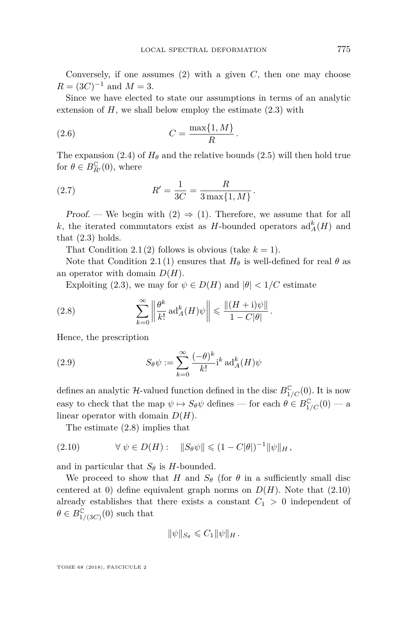Conversely, if one assumes [\(2\)](#page-8-2) with a given *C*, then one may choose  $R = (3C)^{-1}$  and  $M = 3$ .

Since we have elected to state our assumptions in terms of an analytic extension of  $H$ , we shall below employ the estimate  $(2.3)$  with

$$
(2.6) \t\t C = \frac{\max\{1, M\}}{R}.
$$

The expansion [\(2.4\)](#page-8-3) of  $H_{\theta}$  and the relative bounds [\(2.5\)](#page-8-4) will then hold true for  $\theta \in B_{R'}^{\mathbb{C}}(0)$ , where

<span id="page-9-3"></span>*.*

*.*

<span id="page-9-2"></span>(2.7) 
$$
R' = \frac{1}{3C} = \frac{R}{3\max\{1, M\}}
$$

Proof. — We begin with  $(2) \Rightarrow (1)$  $(2) \Rightarrow (1)$  $(2) \Rightarrow (1)$ . Therefore, we assume that for all *k*, the iterated commutators exist as *H*-bounded operators  $\text{ad}_{A}^{k}(H)$  and that  $(2.3)$  holds.

That Condition [2.1](#page-6-2)[\(2\)](#page-6-4) follows is obvious (take  $k = 1$ ).

Note that Condition [2.1](#page-6-2)[\(1\)](#page-6-3) ensures that  $H_{\theta}$  is well-defined for real  $\theta$  as an operator with domain *D*(*H*).

<span id="page-9-0"></span>Exploiting [\(2.3\)](#page-8-1), we may for  $\psi \in D(H)$  and  $|\theta| < 1/C$  estimate

(2.8) 
$$
\sum_{k=0}^{\infty} \left\| \frac{\theta^k}{k!} \operatorname{ad}_A^k(H)\psi \right\| \leq \frac{\|(H+\mathrm{i})\psi\|}{1-C|\theta|}
$$

Hence, the prescription

(2.9) 
$$
S_{\theta}\psi := \sum_{k=0}^{\infty} \frac{(-\theta)^k}{k!} i^k \operatorname{ad}_A^k(H)\psi
$$

defines an analytic  $\mathcal{H}$ -valued function defined in the disc  $B_{1/C}^{\mathbb{C}}(0)$ . It is now easy to check that the map  $\psi \mapsto S_{\theta} \psi$  defines — for each  $\theta \in B_{1/C}^{\mathbb{C}}(0)$  — a linear operator with domain *D*(*H*).

<span id="page-9-1"></span>The estimate [\(2.8\)](#page-9-0) implies that

(2.10) 
$$
\forall \psi \in D(H): \quad \|S_{\theta}\psi\| \leq (1 - C|\theta|)^{-1} \|\psi\|_{H},
$$

and in particular that  $S_{\theta}$  is *H*-bounded.

We proceed to show that *H* and  $S_{\theta}$  (for  $\theta$  in a sufficiently small disc centered at 0) define equivalent graph norms on  $D(H)$ . Note that  $(2.10)$ already establishes that there exists a constant  $C_1 > 0$  independent of  $\theta \in B_{1/(3C)}^{\mathbb{C}}(0)$  such that

$$
\|\psi\|_{S_{\theta}}\leqslant C_1\|\psi\|_H\,.
$$

TOME 68 (2018), FASCICULE 2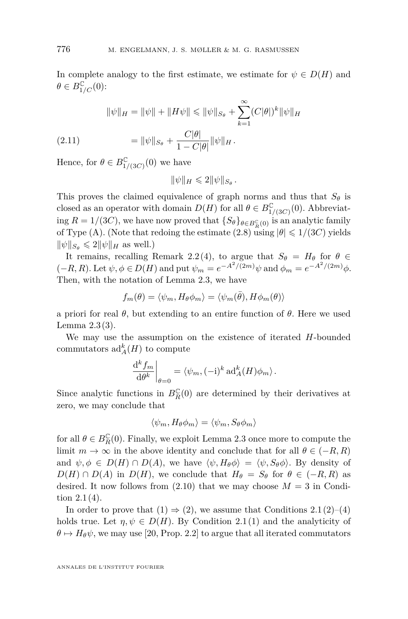In complete analogy to the first estimate, we estimate for  $\psi \in D(H)$  and  $\theta \in B_{1/C}^{\mathbb{C}}(0)$ :

$$
\|\psi\|_{H} = \|\psi\| + \|H\psi\| \le \|\psi\|_{S_{\theta}} + \sum_{k=1}^{\infty} (C|\theta|)^{k} \|\psi\|_{H}
$$
  
(2.11)  

$$
= \|\psi\|_{S_{\theta}} + \frac{C|\theta|}{1 - C|\theta|} \|\psi\|_{H}.
$$

Hence, for  $\theta \in B_{1/(3C)}^{\mathbb{C}}(0)$  we have

$$
\|\psi\|_H\leqslant 2\|\psi\|_{S_\theta}\,.
$$

This proves the claimed equivalence of graph norms and thus that  $S_{\theta}$  is closed as an operator with domain  $D(H)$  for all  $\theta \in B_{1/(3C)}^{\mathbb{C}}(0)$ . Abbreviating  $R = 1/(3C)$ , we have now proved that  $\{S_{\theta}\}_{\theta \in B_R^C(0)}$  is an analytic family of Type (A). (Note that redoing the estimate [\(2.8\)](#page-9-0) using  $|\theta| \leq 1/(3C)$  yields  $\|\psi\|_{S_{\theta}} \leq 2\|\psi\|_{H}$  as well.)

It remains, recalling Remark [2.2](#page-6-7)[\(4\)](#page-7-3), to argue that  $S_{\theta} = H_{\theta}$  for  $\theta \in$  $(-R, R)$ . Let  $\psi, \phi \in D(H)$  and put  $\psi_m = e^{-A^2/(2m)}\psi$  and  $\phi_m = e^{-A^2/(2m)}\phi$ . Then, with the notation of Lemma [2.3,](#page-7-4) we have

$$
f_m(\theta) = \langle \psi_m, H_{\theta} \phi_m \rangle = \langle \psi_m(\bar{\theta}), H \phi_m(\theta) \rangle
$$

a priori for real *θ*, but extending to an entire function of *θ*. Here we used Lemma [2.3](#page-7-4)[\(3\)](#page-7-2).

We may use the assumption on the existence of iterated *H*-bounded commutators  $\mathrm{ad}_{A}^{k}(H)$  to compute

$$
\left. \frac{\mathrm{d}^k f_m}{\mathrm{d} \theta^k} \right|_{\theta=0} = \langle \psi_m, (-\mathrm{i})^k \operatorname{ad}_A^k(H) \phi_m \rangle.
$$

Since analytic functions in  $B_R^{\mathbb{C}}(0)$  are determined by their derivatives at zero, we may conclude that

$$
\langle \psi_m, H_{\theta} \phi_m \rangle = \langle \psi_m, S_{\theta} \phi_m \rangle
$$

for all  $\theta \in B_R^{\mathbb{C}}(0)$ . Finally, we exploit Lemma [2.3](#page-7-4) once more to compute the limit  $m \to \infty$  in the above identity and conclude that for all  $\theta \in (-R, R)$ and  $\psi, \phi \in D(H) \cap D(A)$ , we have  $\langle \psi, H_{\theta} \phi \rangle = \langle \psi, S_{\theta} \phi \rangle$ . By density of  $D(H) \cap D(A)$  in  $D(H)$ , we conclude that  $H_{\theta} = S_{\theta}$  for  $\theta \in (-R, R)$  as desired. It now follows from  $(2.10)$  that we may choose  $M = 3$  in Condition  $2.1(4)$  $2.1(4)$ .

In order to prove that  $(1) \Rightarrow (2)$  $(1) \Rightarrow (2)$  $(1) \Rightarrow (2)$ , we assume that Conditions [2.1](#page-6-2)(2)–[\(4\)](#page-6-6) holds true. Let  $\eta, \psi \in D(H)$ . By Condition [2.1](#page-6-2)[\(1\)](#page-6-3) and the analyticity of  $\theta \mapsto H_{\theta}\psi$ , we may use [\[20,](#page-37-12) Prop. 2.2] to argue that all iterated commutators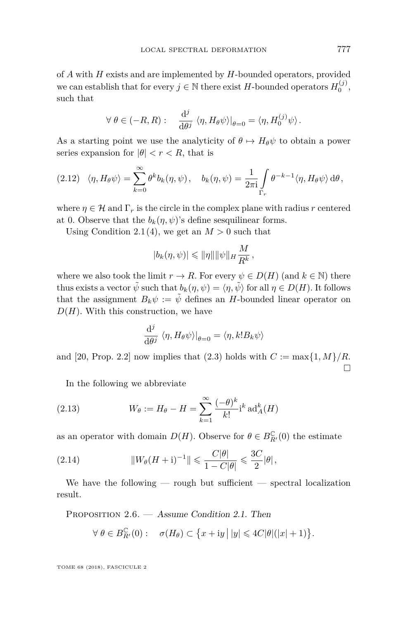of *A* with *H* exists and are implemented by *H*-bounded operators, provided we can establish that for every  $j \in \mathbb{N}$  there exist *H*-bounded operators  $H_0^{(j)}$ , such that

$$
\forall \ \theta \in (-R, R) : \quad \frac{\mathrm{d}^j}{\mathrm{d}\theta^j} \ \langle \eta, H_{\theta}\psi \rangle|_{\theta=0} = \langle \eta, H_0^{(j)} \psi \rangle.
$$

As a starting point we use the analyticity of  $\theta \mapsto H_{\theta} \psi$  to obtain a power series expansion for  $|\theta| < r < R$ , that is

$$
(2.12) \quad \langle \eta, H_{\theta} \psi \rangle = \sum_{k=0}^{\infty} \theta^k b_k(\eta, \psi), \quad b_k(\eta, \psi) = \frac{1}{2\pi i} \int_{\Gamma_r} \theta^{-k-1} \langle \eta, H_{\theta} \psi \rangle d\theta,
$$

where  $\eta \in \mathcal{H}$  and  $\Gamma_r$  is the circle in the complex plane with radius r centered at 0. Observe that the  $b_k(\eta, \psi)$ 's define sesquilinear forms.

Using Condition [2.1](#page-6-2)[\(4\)](#page-6-6), we get an  $M > 0$  such that

$$
|b_k(\eta,\psi)| \leq \|\eta\| \|\psi\|_H \frac{M}{R^k},
$$

where we also took the limit  $r \to R$ . For every  $\psi \in D(H)$  (and  $k \in \mathbb{N}$ ) there thus exists a vector  $\tilde{\psi}$  such that  $b_k(\eta, \psi) = \langle \eta, \tilde{\psi} \rangle$  for all  $\eta \in D(H)$ . It follows that the assignment  $B_k \psi := \tilde{\psi}$  defines an *H*-bounded linear operator on  $D(H)$ . With this construction, we have

$$
\frac{\mathrm{d}^j}{\mathrm{d}\theta^j} \langle \eta, H_{\theta}\psi \rangle|_{\theta=0} = \langle \eta, k! B_k \psi \rangle
$$

and [\[20,](#page-37-12) Prop. 2.2] now implies that [\(2.3\)](#page-8-1) holds with  $C := \max\{1, M\}/R$ .  $\Box$ 

<span id="page-11-2"></span>In the following we abbreviate

(2.13) 
$$
W_{\theta} := H_{\theta} - H = \sum_{k=1}^{\infty} \frac{(-\theta)^k}{k!} i^k \operatorname{ad}_A^k(H)
$$

as an operator with domain  $D(H)$ . Observe for  $\theta \in B_{R'}^{\mathbb{C}}(0)$  the estimate

<span id="page-11-0"></span>(2.14) 
$$
||W_{\theta}(H+i)^{-1}|| \leq \frac{C|\theta|}{1-C|\theta|} \leq \frac{3C}{2}|\theta|,
$$

We have the following  $-$  rough but sufficient  $-$  spectral localization result.

<span id="page-11-1"></span>PROPOSITION 2.6. — Assume Condition [2.1.](#page-6-2) Then

$$
\forall \ \theta \in B_{R'}^{\mathbb{C}}(0): \quad \sigma(H_{\theta}) \subset \big\{x + iy \,\big|\, |y| \leqslant 4C |\theta|(|x|+1)\big\}.
$$

TOME 68 (2018), FASCICULE 2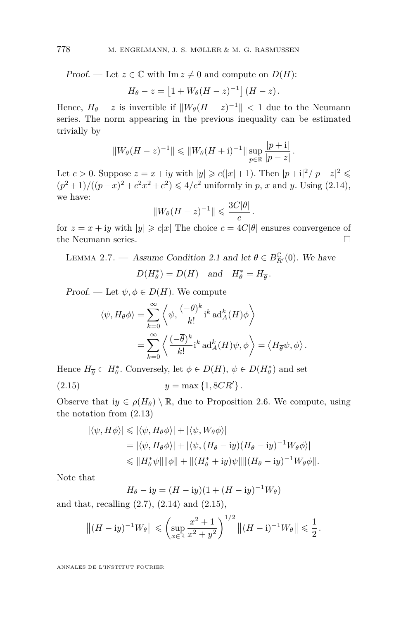Proof. — Let  $z \in \mathbb{C}$  with Im  $z \neq 0$  and compute on  $D(H)$ :

$$
H_{\theta} - z = \left[1 + W_{\theta}(H - z)^{-1}\right](H - z).
$$

Hence,  $H_{\theta} - z$  is invertible if  $||W_{\theta}(H - z)^{-1}|| < 1$  due to the Neumann series. The norm appearing in the previous inequality can be estimated trivially by

$$
||W_{\theta}(H-z)^{-1}|| \leq ||W_{\theta}(H+i)^{-1}|| \sup_{p \in \mathbb{R}} \frac{|p+i|}{|p-z|}.
$$

Let  $c > 0$ . Suppose  $z = x + iy$  with  $|y| \geqslant c(|x|+1)$ . Then  $|p+i|^2/|p-z|^2 \leqslant$  $(p^2+1)/((p-x)^2+c^2x^2+c^2) \le 4/c^2$  uniformly in *p*, *x* and *y*. Using [\(2.14\)](#page-11-0), we have:

$$
||W_{\theta}(H-z)^{-1}|| \leqslant \frac{3C|\theta|}{c}.
$$

for  $z = x + iy$  with  $|y| \ge c|x|$  The choice  $c = 4C|\theta|$  ensures convergence of the Neumann series.

<span id="page-12-1"></span>LEMMA 2.7. — Assume Condition [2.1](#page-6-2) and let  $\theta \in B_{R'}^{\mathbb{C}}(0)$ . We have

$$
D(H_{\theta}^*) = D(H)
$$
 and  $H_{\theta}^* = H_{\overline{\theta}}$ .

Proof. — Let  $\psi, \phi \in D(H)$ . We compute

$$
\langle \psi, H_{\theta} \phi \rangle = \sum_{k=0}^{\infty} \left\langle \psi, \frac{(-\theta)^k}{k!} i^k \operatorname{ad}_A^k(H) \phi \right\rangle
$$
  
= 
$$
\sum_{k=0}^{\infty} \left\langle \frac{(-\overline{\theta})^k}{k!} i^k \operatorname{ad}_A^k(H) \psi, \phi \right\rangle = \left\langle H_{\overline{\theta}} \psi, \phi \right\rangle.
$$

Hence  $H_{\overline{\theta}} \subset H_{\theta}^*$ . Conversely, let  $\phi \in D(H)$ ,  $\psi \in D(H_{\theta}^*)$  and set (2.15)  $y = \max\{1, 8CR'\}.$ 

Observe that  $ig \in \rho(H_\theta) \setminus \mathbb{R}$ , due to Proposition [2.6.](#page-11-1) We compute, using the notation from [\(2.13\)](#page-11-2)

<span id="page-12-0"></span>
$$
\begin{aligned} |\langle \psi, H\phi \rangle| &\leq |\langle \psi, H_{\theta}\phi \rangle| + |\langle \psi, W_{\theta}\phi \rangle| \\ &= |\langle \psi, H_{\theta}\phi \rangle| + |\langle \psi, (H_{\theta} - iy)(H_{\theta} - iy)^{-1}W_{\theta}\phi \rangle| \\ &\leq \|H_{\theta}^{*}\psi\| \|\phi\| + \|(H_{\theta}^{*} + iy)\psi\| \|(H_{\theta} - iy)^{-1}W_{\theta}\phi\|. \end{aligned}
$$

Note that

$$
H_{\theta} - iy = (H - iy)(1 + (H - iy))^{-1}W_{\theta})
$$

and that, recalling  $(2.7)$ ,  $(2.14)$  and  $(2.15)$ ,

$$
||(H - iy)^{-1}W_{\theta}|| \leqslant \left(\sup_{x \in \mathbb{R}} \frac{x^2 + 1}{x^2 + y^2}\right)^{1/2} \left\|(H - i)^{-1}W_{\theta}\right\| \leqslant \frac{1}{2}.
$$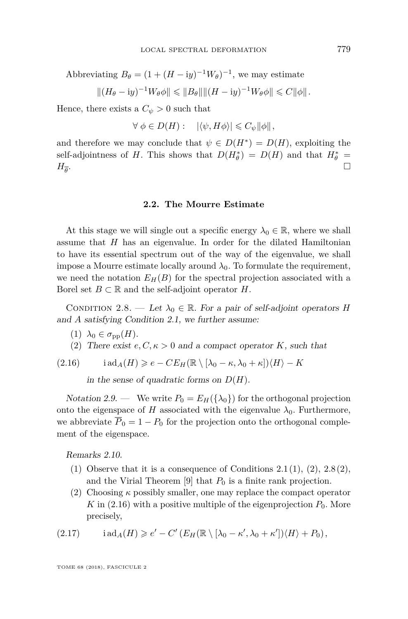Abbreviating  $B_{\theta} = (1 + (H - iy)^{-1}W_{\theta})^{-1}$ , we may estimate

$$
||(H_{\theta} - iy)^{-1}W_{\theta}\phi|| \leq ||B_{\theta}|| ||(H - iy)^{-1}W_{\theta}\phi|| \leq C ||\phi||.
$$

Hence, there exists a  $C_{\psi} > 0$  such that

 $\forall \phi \in D(H): \quad |\langle \psi, H\phi \rangle| \leqslant C_{\psi} ||\phi||,$ 

and therefore we may conclude that  $\psi \in D(H^*) = D(H)$ , exploiting the self-adjointness of *H*. This shows that  $D(H^*_{\theta}) = D(H)$  and that  $H^*_{\theta} =$  $H_{\overline{\theta}}$ . . In the contract of the contract of the contract of the contract of the contract of the contract of the contract of

#### **2.2. The Mourre Estimate**

<span id="page-13-0"></span>At this stage we will single out a specific energy  $\lambda_0 \in \mathbb{R}$ , where we shall assume that *H* has an eigenvalue. In order for the dilated Hamiltonian to have its essential spectrum out of the way of the eigenvalue, we shall impose a Mourre estimate locally around  $\lambda_0$ . To formulate the requirement, we need the notation  $E_H(B)$  for the spectral projection associated with a Borel set  $B \subset \mathbb{R}$  and the self-adjoint operator *H*.

<span id="page-13-1"></span>CONDITION 2.8. — Let  $\lambda_0 \in \mathbb{R}$ . For a pair of self-adjoint operators *H* and *A* satisfying Condition [2.1,](#page-6-2) we further assume:

- <span id="page-13-5"></span> $(1)$   $\lambda_0 \in \sigma_{\text{pp}}(H)$ .
- <span id="page-13-2"></span>(2) There exist  $e, C, \kappa > 0$  and a compact operator *K*, such that

$$
(2.16) \qquad \operatorname{iad}_A(H) \geqslant e - CE_H(\mathbb{R} \setminus [\lambda_0 - \kappa, \lambda_0 + \kappa]) \langle H \rangle - K
$$

<span id="page-13-3"></span>in the sense of quadratic forms on  $D(H)$ .

Notation 2.9. — We write  $P_0 = E_H(\{\lambda_0\})$  for the orthogonal projection onto the eigenspace of *H* associated with the eigenvalue  $\lambda_0$ . Furthermore, we abbreviate  $\overline{P}_0 = 1 - P_0$  for the projection onto the orthogonal complement of the eigenspace.

Remarks 2.10.

- [\(1\)](#page-6-3) Observe that it is a consequence of Conditions  $2.1(1)$  $2.1(1)$ ,  $(2)$ ,  $2.8(2)$  $2.8(2)$ , and the Virial Theorem  $[9]$  that  $P_0$  is a finite rank projection.
- (2) Choosing *κ* possibly smaller, one may replace the compact operator *K* in  $(2.16)$  with a positive multiple of the eigenprojection  $P_0$ . More precisely,

<span id="page-13-4"></span>(2.17) 
$$
i \operatorname{ad}_A(H) \geq e' - C' (E_H(\mathbb{R} \setminus [\lambda_0 - \kappa', \lambda_0 + \kappa']) \langle H \rangle + P_0),
$$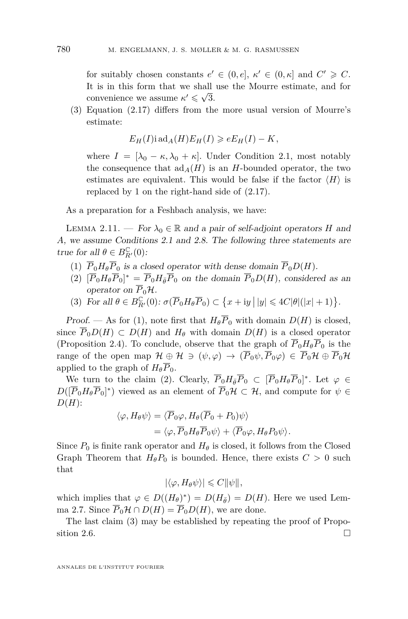for suitably chosen constants  $e' \in (0, e], \kappa' \in (0, \kappa]$  and  $C' \geq C$ . It is in this form that we shall use the Mourre estimate, and for convenience we assume  $\kappa' \leq \sqrt{3}$ .

(3) Equation [\(2.17\)](#page-13-4) differs from the more usual version of Mourre's estimate:

$$
E_H(I) \operatorname{i} \operatorname{ad}_A(H) E_H(I) \geqslant e E_H(I) - K,
$$

where  $I = [\lambda_0 - \kappa, \lambda_0 + \kappa]$ . Under Condition [2.1,](#page-6-2) most notably the consequence that  $\text{ad}_A(H)$  is an *H*-bounded operator, the two estimates are equivalent. This would be false if the factor  $\langle H \rangle$  is replaced by 1 on the right-hand side of [\(2.17\)](#page-13-4).

As a preparation for a Feshbach analysis, we have:

<span id="page-14-3"></span>LEMMA 2.11. — For  $\lambda_0 \in \mathbb{R}$  and a pair of self-adjoint operators *H* and *A*, we assume Conditions [2.1](#page-6-2) and [2.8.](#page-13-1) The following three statements are true for all  $\theta \in B_{R'}^{\mathbb{C}}(0)$ :

- <span id="page-14-0"></span>(1)  $\overline{P}_0 H_{\theta} \overline{P}_0$  is a closed operator with dense domain  $\overline{P}_0 D(H)$ .
- <span id="page-14-1"></span> $(2)$   $[\overline{P}_0 H_\theta \overline{P}_0]^* = \overline{P}_0 H_{\overline{\theta}} \overline{P}_0$  on the domain  $\overline{P}_0 D(H)$ , considered as an operator on  $\overline{P}_0$ *H*.
- <span id="page-14-2"></span>(3) For all  $\theta \in B_{R'}^{\mathbb{C}}(0)$ :  $\sigma(\overline{P}_0 H_{\theta} \overline{P}_0) \subset \{x + iy \mid |y| \leq 4C |\theta|(|x| + 1)\}.$

Proof. — As for [\(1\)](#page-14-0), note first that  $H_{\theta} \overline{P}_0$  with domain  $D(H)$  is closed, since  $\overline{P}_0D(H) \subset D(H)$  and  $H_\theta$  with domain  $D(H)$  is a closed operator (Proposition [2.4\)](#page-8-5). To conclude, observe that the graph of  $\overline{P}_0 H_{\theta} \overline{P}_0$  is the range of the open map  $\mathcal{H} \oplus \mathcal{H} \ni (\psi, \varphi) \rightarrow (\overline{P}_0 \psi, \overline{P}_0 \varphi) \in \overline{P}_0 \mathcal{H} \oplus \overline{P}_0 \mathcal{H}$ applied to the graph of  $H_{\theta} \overline{P}_0$ .

We turn to the claim [\(2\)](#page-14-1). Clearly,  $\overline{P}_0 H_{\overline{\theta}} \overline{P}_0 \subset [\overline{P}_0 H_{\theta} \overline{P}_0]^*$ . Let  $\varphi \in$  $D([\overline{P}_0 H_\theta \overline{P}_0]^*)$  viewed as an element of  $\overline{P}_0 H \subset \mathcal{H}$ , and compute for  $\psi \in$ *D*(*H*):

$$
\langle \varphi, H_{\theta} \psi \rangle = \langle \overline{P}_0 \varphi, H_{\theta} (\overline{P}_0 + P_0) \psi \rangle
$$
  
=  $\langle \varphi, \overline{P}_0 H_{\theta} \overline{P}_0 \psi \rangle + \langle \overline{P}_0 \varphi, H_{\theta} P_0 \psi \rangle.$ 

Since  $P_0$  is finite rank operator and  $H_\theta$  is closed, it follows from the Closed Graph Theorem that  $H_{\theta}P_0$  is bounded. Hence, there exists  $C > 0$  such that

$$
|\langle \varphi, H_{\theta} \psi \rangle| \leq C ||\psi||,
$$

which implies that  $\varphi \in D((H_{\theta})^*) = D(H_{\bar{\theta}}) = D(H)$ . Here we used Lem-ma [2.7.](#page-12-1) Since  $\overline{P}_0\mathcal{H} \cap D(H) = \overline{P}_0D(H)$ , we are done.

The last claim [\(3\)](#page-14-2) may be established by repeating the proof of Propo-sition [2.6.](#page-11-1)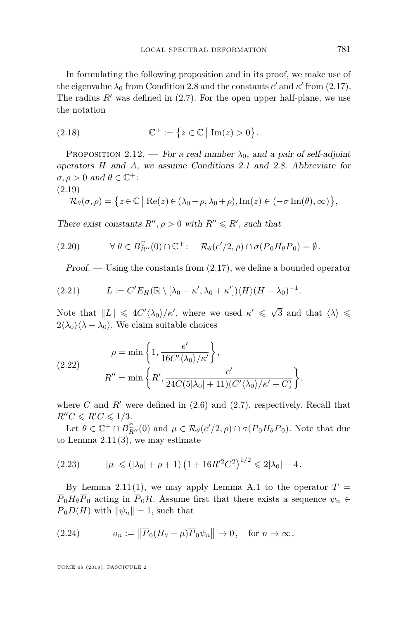In formulating the following proposition and in its proof, we make use of the eigenvalue  $\lambda_0$  from Condition [2.8](#page-13-1) and the constants  $e'$  and  $\kappa'$  from [\(2.17\)](#page-13-4). The radius  $R'$  was defined in  $(2.7)$ . For the open upper half-plane, we use the notation

$$
(2.18) \qquad \mathbb{C}^+ := \left\{ z \in \mathbb{C} \, \middle| \, \operatorname{Im}(z) > 0 \right\}.
$$

<span id="page-15-5"></span>PROPOSITION 2.12. — For a real number  $\lambda_0$ , and a pair of self-adjoint operators *H* and *A*, we assume Conditions [2.1](#page-6-2) and [2.8.](#page-13-1) Abbreviate for  $\sigma, \rho > 0$  and  $\theta \in \mathbb{C}^+$ :

$$
(2.19)
$$

<span id="page-15-4"></span>
$$
\mathcal{R}_{\theta}(\sigma,\rho) = \left\{ z \in \mathbb{C} \mid \text{Re}(z) \in (\lambda_0 - \rho, \lambda_0 + \rho), \text{Im}(z) \in (-\sigma \text{Im}(\theta), \infty) \right\},\
$$

There exist constants  $R''$ ,  $\rho > 0$  with  $R'' \le R'$ , such that

(2.20) 
$$
\forall \ \theta \in B_{R''}^{\mathbb{C}}(0) \cap \mathbb{C}^+ : \quad \mathcal{R}_{\theta}(e'/2, \rho) \cap \sigma(\overline{P}_0 H_{\theta} \overline{P}_0) = \emptyset.
$$

<span id="page-15-1"></span>*Proof.*  $\sim$  Using the constants from  $(2.17)$ , we define a bounded operator

$$
(2.21) \tL := C'E_H(\mathbb{R} \setminus [\lambda_0 - \kappa', \lambda_0 + \kappa'])\langle H \rangle (H - \lambda_0)^{-1}.
$$

Note that  $||L|| \leq 4C' \langle \lambda_0 \rangle / \kappa'$ , where we used  $\kappa' \leq \sqrt{3}$  and that  $\langle \lambda \rangle \leq$  $2\langle\lambda_0\rangle\langle\lambda-\lambda_0\rangle$ . We claim suitable choices

<span id="page-15-2"></span>(2.22) 
$$
\rho = \min\left\{1, \frac{e'}{16C'\langle\lambda_0\rangle/\kappa'}\right\},\
$$

$$
R'' = \min\left\{R', \frac{e'}{24C(5|\lambda_0|+11)(C'\langle\lambda_0\rangle/\kappa'+C)}\right\},\
$$

where *C* and  $R'$  were defined in  $(2.6)$  and  $(2.7)$ , respectively. Recall that  $R''C \le R'C \le 1/3$ .

Let  $\theta \in \mathbb{C}^+ \cap B^{\mathbb{C}}_{R''}(0)$  and  $\mu \in \mathcal{R}_{\theta}(e'/2, \rho) \cap \sigma(\overline{P}_0 H_{\theta} \overline{P}_0)$ . Note that due to Lemma  $2.11(3)$  $2.11(3)$ , we may estimate

<span id="page-15-0"></span>
$$
(2.23) \t |\mu| \leq (|\lambda_0| + \rho + 1) (1 + 16R'^2C^2)^{1/2} \leq 2|\lambda_0| + 4.
$$

By Lemma [2.11](#page-14-3)[\(1\)](#page-14-0), we may apply Lemma [A.1](#page-35-0) to the operator  $T =$  $\overline{P}_0 H_{\theta} \overline{P}_0$  acting in  $\overline{P}_0 H$ . Assume first that there exists a sequence  $\psi_n \in$  $\overline{P}_0D(H)$  with  $\|\psi_n\|=1$ , such that

<span id="page-15-3"></span>(2.24) 
$$
o_n := \left\|\overline{P}_0(H_\theta - \mu)\overline{P}_0\psi_n\right\| \to 0, \text{ for } n \to \infty.
$$

TOME 68 (2018), FASCICULE 2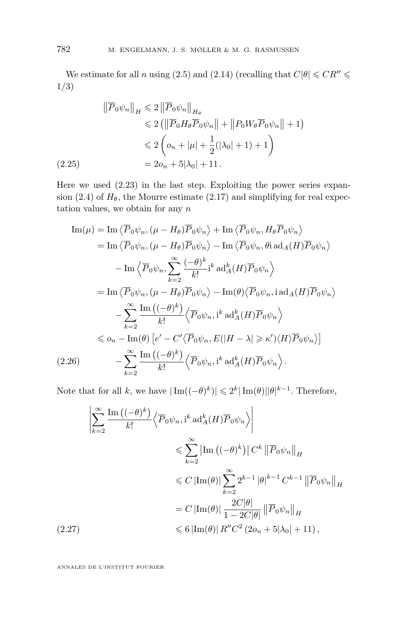We estimate for all *n* using [\(2.5\)](#page-8-4) and [\(2.14\)](#page-11-0) (recalling that  $C|\theta| \leqslant CR'' \leqslant$ 1*/*3)

$$
\|\overline{P}_0 \psi_n\|_H \leq 2 \|\overline{P}_0 \psi_n\|_{H_\theta}
$$
  
\n
$$
\leq 2 (\|\overline{P}_0 H_\theta \overline{P}_0 \psi_n\| + \|P_0 W_\theta \overline{P}_0 \psi_n\| + 1)
$$
  
\n
$$
\leq 2 \left( o_n + |\mu| + \frac{1}{2} (|\lambda_0| + 1) + 1 \right)
$$
  
\n(2.25)  
\n
$$
= 2o_n + 5|\lambda_0| + 11.
$$

<span id="page-16-0"></span>Here we used [\(2.23\)](#page-15-0) in the last step. Exploiting the power series expan-sion [\(2.4\)](#page-8-3) of  $H_\theta$ , the Mourre estimate [\(2.17\)](#page-13-4) and simplifying for real expectation values, we obtain for any *n*

$$
\begin{split}\n\text{Im}(\mu) &= \text{Im}\left\langle \overline{P}_{0}\psi_{n}, (\mu - H_{\theta})\overline{P}_{0}\psi_{n} \right\rangle + \text{Im}\left\langle \overline{P}_{0}\psi_{n}, H_{\theta}\overline{P}_{0}\psi_{n} \right\rangle \\
&= \text{Im}\left\langle \overline{P}_{0}\psi_{n}, (\mu - H_{\theta})\overline{P}_{0}\psi_{n} \right\rangle - \text{Im}\left\langle \overline{P}_{0}\psi_{n}, \theta_{1} \operatorname{ad}_{A}(H)\overline{P}_{0}\psi_{n} \right\rangle \\
&\quad - \text{Im}\left\langle \overline{P}_{0}\psi_{n}, \sum_{k=2}^{\infty} \frac{(-\theta)^{k}}{k!} i^{k} \operatorname{ad}_{A}^{k}(H)\overline{P}_{0}\psi_{n} \right\rangle \\
&= \text{Im}\left\langle \overline{P}_{0}\psi_{n}, (\mu - H_{\theta})\overline{P}_{0}\psi_{n} \right\rangle - \text{Im}(\theta)\left\langle \overline{P}_{0}\psi_{n}, i^{k} \operatorname{ad}_{A}(H)\overline{P}_{0}\psi_{n} \right\rangle \\
&\quad - \sum_{k=2}^{\infty} \frac{\text{Im}\left((-\theta)^{k}\right)}{k!} \left\langle \overline{P}_{0}\psi_{n}, i^{k} \operatorname{ad}_{A}^{k}(H)\overline{P}_{0}\psi_{n} \right\rangle \\
&\leq o_{n} - \text{Im}(\theta) \left[ e' - C'\left\langle \overline{P}_{0}\psi_{n}, E(|H - \lambda| \geq \kappa') \langle H \rangle \overline{P}_{0}\psi_{n} \right\rangle \right] \\
(2.26) \qquad & - \sum_{k=2}^{\infty} \frac{\text{Im}\left((-\theta)^{k}\right)}{k!} \left\langle \overline{P}_{0}\psi_{n}, i^{k} \operatorname{ad}_{A}^{k}(H)\overline{P}_{0}\psi_{n} \right\rangle.\n\end{split}
$$

<span id="page-16-1"></span>Note that for all *k*, we have  $|\text{Im}((-\theta)^k)| \leq 2^k |\text{Im}(\theta)||\theta|^{k-1}$ . Therefore,

<span id="page-16-2"></span>
$$
\left| \sum_{k=2}^{\infty} \frac{\operatorname{Im} \left( (-\theta)^k \right)}{k!} \left\langle \overline{P}_0 \psi_n, i^k \operatorname{ad}_A^k(H) \overline{P}_0 \psi_n \right\rangle \right|
$$
  

$$
\leqslant \sum_{k=2}^{\infty} \left| \operatorname{Im} \left( (-\theta)^k \right) \right| C^k \left\| \overline{P}_0 \psi_n \right\|_H
$$
  

$$
\leqslant C \left| \operatorname{Im}(\theta) \right| \sum_{k=2}^{\infty} 2^{k-1} |\theta|^{k-1} C^{k-1} \left\| \overline{P}_0 \psi_n \right\|_H
$$
  

$$
= C \left| \operatorname{Im}(\theta) \right| \frac{2C|\theta|}{1 - 2C|\theta|} \left\| \overline{P}_0 \psi_n \right\|_H
$$
  
(2.27)  

$$
\leqslant 6 \left| \operatorname{Im}(\theta) \right| R'' C^2 (2o_n + 5|\lambda_0| + 11),
$$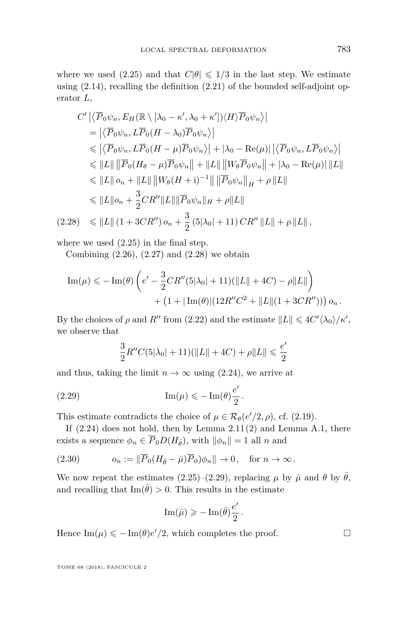where we used [\(2.25\)](#page-16-0) and that  $C|\theta| \leq 1/3$  in the last step. We estimate using  $(2.14)$ , recalling the definition  $(2.21)$  of the bounded self-adjoint operator *L*,

$$
C' \left| \left\langle \overline{P}_0 \psi_n, E_H(\mathbb{R} \setminus [\lambda_0 - \kappa', \lambda_0 + \kappa']) \langle H \rangle \overline{P}_0 \psi_n \right\rangle \right|
$$
  
\n
$$
= \left| \left\langle \overline{P}_0 \psi_n, L\overline{P}_0 (H - \lambda_0) \overline{P}_0 \psi_n \right\rangle \right|
$$
  
\n
$$
\leq \left| \left\langle \overline{P}_0 \psi_n, L\overline{P}_0 (H - \mu) \overline{P}_0 \psi_n \right\rangle \right| + |\lambda_0 - \text{Re}(\mu)| \left| \left\langle \overline{P}_0 \psi_n, L\overline{P}_0 \psi_n \right\rangle \right|
$$
  
\n
$$
\leq \|L\| \left\| \overline{P}_0 (H_\theta - \mu) \overline{P}_0 \psi_n \right\| + \|L\| \left\| W_\theta \overline{P}_0 \psi_n \right\| + |\lambda_0 - \text{Re}(\mu)| \|L\|
$$
  
\n
$$
\leq \|L\| o_n + \|L\| \left\| W_\theta (H + \mathbf{i})^{-1} \right\| \left\| \overline{P}_0 \psi_n \right\|_H + \rho \|L\|
$$
  
\n
$$
\leq \|L\| o_n + \frac{3}{2} C R'' \|L\| \left\| \overline{P}_0 \psi_n \right\|_H + \rho \|L\|
$$
  
\n(2.28) 
$$
\leq \|L\| (1 + 3CR'') o_n + \frac{3}{2} (5|\lambda_0| + 11) C R'' \|L\| + \rho \|L\|,
$$

<span id="page-17-0"></span>where we used [\(2.25\)](#page-16-0) in the final step.

Combining  $(2.26)$ ,  $(2.27)$  and  $(2.28)$  we obtain

Im(
$$
\mu
$$
)  $\leq$  - Im( $\theta$ )  $\left(e' - \frac{3}{2}CR''(5|\lambda_0| + 11)(||L|| + 4C) - \rho||L||\right)$   
 +  $\left(1 + |\text{Im}(\theta)|(12R''C^2 + ||L||(1 + 3CR''))\right)\rho_n$ .

By the choices of  $\rho$  and  $R''$  from [\(2.22\)](#page-15-2) and the estimate  $||L|| \leq 4C' \langle \lambda_0 \rangle / \kappa'$ , we observe that

<span id="page-17-1"></span>
$$
\frac{3}{2}R''C(5|\lambda_0|+11)(\|L\|+4C)+\rho\|L\|\leqslant\frac{e'}{2}
$$

and thus, taking the limit  $n \to \infty$  using [\(2.24\)](#page-15-3), we arrive at

(2.29) 
$$
\operatorname{Im}(\mu) \leqslant -\operatorname{Im}(\theta) \frac{e'}{2}.
$$

This estimate contradicts the choice of  $\mu \in \mathcal{R}_{\theta}(e'/2, \rho)$ , cf. [\(2.19\)](#page-15-4).

If  $(2.24)$  does not hold, then by Lemma  $2.11(2)$  $2.11(2)$  and Lemma [A.1,](#page-35-0) there exists a sequence  $\phi_n \in \overline{P}_0D(H_{\overline{\theta}})$ , with  $\|\phi_n\| = 1$  all *n* and

(2.30) 
$$
o_n := \|\overline{P}_0 (H_{\overline{\theta}} - \overline{\mu}) \overline{P}_0 \rangle \phi_n \| \to 0, \text{ for } n \to \infty.
$$

We now repeat the estimates [\(2.25\)](#page-16-0)–[\(2.29\)](#page-17-1), replacing  $\mu$  by  $\bar{\mu}$  and  $\theta$  by  $\bar{\theta}$ , and recalling that  $\text{Im}(\bar{\theta}) > 0$ . This results in the estimate

$$
\text{Im}(\bar{\mu})\geqslant -\text{Im}(\bar{\theta})\frac{e'}{2}.
$$

Hence  $\text{Im}(\mu) \leq -\text{Im}(\theta)e'/2$ , which completes the proof.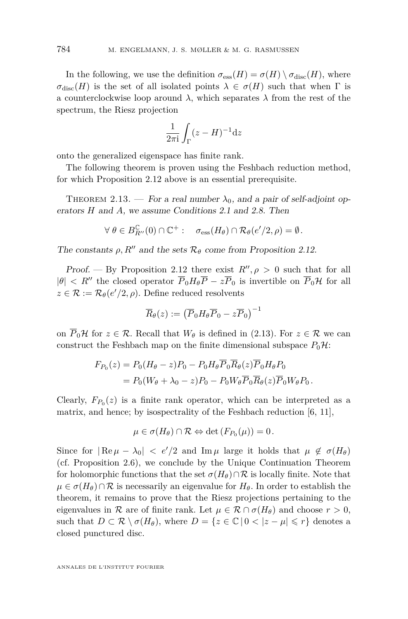In the following, we use the definition  $\sigma_{\text{ess}}(H) = \sigma(H) \setminus \sigma_{\text{disc}}(H)$ , where  $\sigma_{disc}(H)$  is the set of all isolated points  $\lambda \in \sigma(H)$  such that when  $\Gamma$  is a counterclockwise loop around  $\lambda$ , which separates  $\lambda$  from the rest of the spectrum, the Riesz projection

$$
\frac{1}{2\pi i} \int_{\Gamma} (z - H)^{-1} \mathrm{d}z
$$

onto the generalized eigenspace has finite rank.

The following theorem is proven using the Feshbach reduction method, for which Proposition [2.12](#page-15-5) above is an essential prerequisite.

<span id="page-18-0"></span>THEOREM 2.13. — For a real number  $\lambda_0$ , and a pair of self-adjoint operators *H* and *A*, we assume Conditions [2.1](#page-6-2) and [2.8.](#page-13-1) Then

$$
\forall \ \theta \in B_{R''}^{\mathbb{C}}(0) \cap \mathbb{C}^+ : \quad \sigma_{\text{ess}}(H_{\theta}) \cap \mathcal{R}_{\theta}(e'/2, \rho) = \emptyset.
$$

The constants  $\rho$ , R<sup>*n*</sup> and the sets  $\mathcal{R}_{\theta}$  come from Proposition [2.12.](#page-15-5)

Proof. — By Proposition [2.12](#page-15-5) there exist  $R''$ ,  $\rho > 0$  such that for all  $|\theta|$  < R<sup>n</sup> the closed operator  $\overline{P}_0 H_{\theta} \overline{P} - z \overline{P}_0$  is invertible on  $\overline{P}_0 H$  for all  $z \in \mathcal{R} := \mathcal{R}_{\theta}(e'/2, \rho)$ . Define reduced resolvents

$$
\overline{R}_{\theta}(z) := \left( \overline{P}_0 H_{\theta} \overline{P}_0 - z \overline{P}_0 \right)^{-1}
$$

on  $\overline{P}_0$ H for  $z \in \mathcal{R}$ . Recall that  $W_\theta$  is defined in [\(2.13\)](#page-11-2). For  $z \in \mathcal{R}$  we can construct the Feshbach map on the finite dimensional subspace  $P_0\mathcal{H}$ :

$$
F_{P_0}(z) = P_0(H_\theta - z)P_0 - P_0H_\theta \overline{P}_0 \overline{R}_\theta(z) \overline{P}_0 H_\theta P_0
$$
  
=  $P_0(W_\theta + \lambda_0 - z)P_0 - P_0 W_\theta \overline{P}_0 \overline{R}_\theta(z) \overline{P}_0 W_\theta P_0.$ 

Clearly,  $F_{P_0}(z)$  is a finite rank operator, which can be interpreted as a matrix, and hence; by isospectrality of the Feshbach reduction [\[6,](#page-37-14) [11\]](#page-37-15),

$$
\mu \in \sigma(H_{\theta}) \cap \mathcal{R} \Leftrightarrow \det(F_{P_0}(\mu)) = 0.
$$

Since for  $|Re \mu - \lambda_0| < e'/2$  and  $Im \mu$  large it holds that  $\mu \notin \sigma(H_\theta)$ (cf. Proposition [2.6\)](#page-11-1), we conclude by the Unique Continuation Theorem for holomorphic functions that the set  $\sigma(H_\theta) \cap \mathcal{R}$  is locally finite. Note that  $\mu \in \sigma(H_\theta) \cap \mathcal{R}$  is necessarily an eigenvalue for  $H_\theta$ . In order to establish the theorem, it remains to prove that the Riesz projections pertaining to the eigenvalues in R are of finite rank. Let  $\mu \in \mathcal{R} \cap \sigma(H_{\theta})$  and choose  $r > 0$ , such that  $D \subset \mathcal{R} \setminus \sigma(H_\theta)$ , where  $D = \{z \in \mathbb{C} \mid 0 < |z - \mu| \leq r\}$  denotes a closed punctured disc.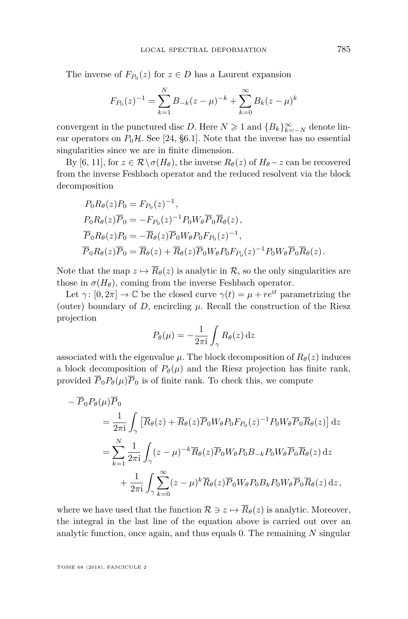The inverse of  $F_{P_0}(z)$  for  $z \in D$  has a Laurent expansion

$$
F_{P_0}(z)^{-1} = \sum_{k=1}^{N} B_{-k}(z - \mu)^{-k} + \sum_{k=0}^{\infty} B_k(z - \mu)^k
$$

convergent in the punctured disc *D*. Here  $N \geq 1$  and  ${B_k}_{k=-N}^{\infty}$  denote linear operators on  $P_0$ H. See [\[24,](#page-38-3) §6.1]. Note that the inverse has no essential singularities since we are in finite dimension.

By [\[6,](#page-37-14) [11\]](#page-37-15), for  $z \in \mathcal{R} \setminus \sigma(H_\theta)$ , the inverse  $R_\theta(z)$  of  $H_\theta - z$  can be recovered from the inverse Feshbach operator and the reduced resolvent via the block decomposition

$$
P_0 R_{\theta}(z) P_0 = F_{P_0}(z)^{-1},
$$
  
\n
$$
P_0 R_{\theta}(z) \overline{P}_0 = -F_{P_0}(z)^{-1} P_0 W_{\theta} \overline{P}_0 \overline{R}_{\theta}(z),
$$
  
\n
$$
\overline{P}_0 R_{\theta}(z) P_0 = -\overline{R}_{\theta}(z) \overline{P}_0 W_{\theta} P_0 F_{P_0}(z)^{-1},
$$
  
\n
$$
\overline{P}_0 R_{\theta}(z) \overline{P}_0 = \overline{R}_{\theta}(z) + \overline{R}_{\theta}(z) \overline{P}_0 W_{\theta} P_0 F_{P_0}(z)^{-1} P_0 W_{\theta} \overline{P}_0 \overline{R}_{\theta}(z).
$$

Note that the map  $z \mapsto \overline{R}_{\theta}(z)$  is analytic in  $\mathcal{R}$ , so the only singularities are those in  $\sigma(H_{\theta})$ , coming from the inverse Feshbach operator.

Let  $\gamma: [0, 2\pi] \to \mathbb{C}$  be the closed curve  $\gamma(t) = \mu + re^{it}$  parametrizing the (outer) boundary of  $D$ , encircling  $\mu$ . Recall the construction of the Riesz projection

$$
P_{\theta}(\mu) = -\frac{1}{2\pi i} \int_{\gamma} R_{\theta}(z) dz
$$

associated with the eigenvalue  $\mu$ . The block decomposition of  $R_{\theta}(z)$  induces a block decomposition of  $P_{\theta}(\mu)$  and the Riesz projection has finite rank, provided  $\overline{P}_0P_\theta(\mu)\overline{P}_0$  is of finite rank. To check this, we compute

$$
- \overline{P}_0 P_\theta(\mu) \overline{P}_0
$$
  
=  $\frac{1}{2\pi i} \int_{\gamma} \left[ \overline{R}_{\theta}(z) + \overline{R}_{\theta}(z) \overline{P}_0 W_{\theta} P_0 F_{P_0}(z)^{-1} P_0 W_{\theta} \overline{P}_0 \overline{R}_{\theta}(z) \right] dz$   
=  $\sum_{k=1}^N \frac{1}{2\pi i} \int_{\gamma} (z - \mu)^{-k} \overline{R}_{\theta}(z) \overline{P}_0 W_{\theta} P_0 B_{-k} P_0 W_{\theta} \overline{P}_0 \overline{R}_{\theta}(z) dz$   
+  $\frac{1}{2\pi i} \int_{\gamma} \sum_{k=0}^{\infty} (z - \mu)^k \overline{R}_{\theta}(z) \overline{P}_0 W_{\theta} P_0 B_k P_0 W_{\theta} \overline{P}_0 \overline{R}_{\theta}(z) dz$ ,

where we have used that the function  $\mathcal{R} \ni z \mapsto \overline{R}_{\theta}(z)$  is analytic. Moreover, the integral in the last line of the equation above is carried out over an analytic function, once again, and thus equals 0. The remaining *N* singular

TOME 68 (2018), FASCICULE 2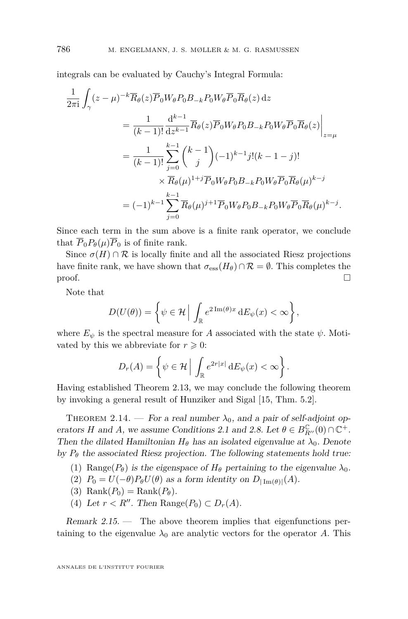integrals can be evaluated by Cauchy's Integral Formula:

$$
\frac{1}{2\pi i} \int_{\gamma} (z - \mu)^{-k} \overline{R}_{\theta}(z) \overline{P}_{0} W_{\theta} P_{0} B_{-k} P_{0} W_{\theta} \overline{P}_{0} \overline{R}_{\theta}(z) dz \n= \frac{1}{(k-1)!} \frac{d^{k-1}}{dz^{k-1}} \overline{R}_{\theta}(z) \overline{P}_{0} W_{\theta} P_{0} B_{-k} P_{0} W_{\theta} \overline{P}_{0} \overline{R}_{\theta}(z) \Big|_{z=\mu} \n= \frac{1}{(k-1)!} \sum_{j=0}^{k-1} {k-1 \choose j} (-1)^{k-1} j! (k-1-j)! \n\times \overline{R}_{\theta}(\mu)^{1+j} \overline{P}_{0} W_{\theta} P_{0} B_{-k} P_{0} W_{\theta} \overline{P}_{0} \overline{R}_{\theta}(\mu)^{k-j} \n= (-1)^{k-1} \sum_{j=0}^{k-1} \overline{R}_{\theta}(\mu)^{j+1} \overline{P}_{0} W_{\theta} P_{0} B_{-k} P_{0} W_{\theta} \overline{P}_{0} \overline{R}_{\theta}(\mu)^{k-j}.
$$

Since each term in the sum above is a finite rank operator, we conclude that  $\overline{P}_0P_\theta(\mu)\overline{P}_0$  is of finite rank.

Since  $\sigma(H) \cap \mathcal{R}$  is locally finite and all the associated Riesz projections have finite rank, we have shown that  $\sigma_{\text{ess}}(H_{\theta}) \cap \mathcal{R} = \emptyset$ . This completes the  $\Box$ 

Note that

$$
D(U(\theta)) = \left\{ \psi \in \mathcal{H} \, \middle| \, \int_{\mathbb{R}} e^{2 \operatorname{Im}(\theta)x} \, dE_{\psi}(x) < \infty \right\},
$$

where  $E_{\psi}$  is the spectral measure for *A* associated with the state  $\psi$ . Motivated by this we abbreviate for  $r \geq 0$ :

$$
D_r(A) = \left\{ \psi \in \mathcal{H} \, \middle| \, \int_{\mathbb{R}} e^{2r|x|} \, \mathrm{d}E_{\psi}(x) < \infty \right\}.
$$

Having established Theorem [2.13,](#page-18-0) we may conclude the following theorem by invoking a general result of Hunziker and Sigal [\[15,](#page-37-3) Thm. 5.2].

<span id="page-20-0"></span>THEOREM 2.14. — For a real number  $\lambda_0$ , and a pair of self-adjoint operators *H* and *A*, we assume Conditions [2.1](#page-6-2) and [2.8.](#page-13-1) Let  $\theta \in B_{R''}^{\mathbb{C}}(0) \cap \mathbb{C}^+$ . Then the dilated Hamiltonian  $H_{\theta}$  has an isolated eigenvalue at  $\lambda_0$ . Denote by  $P_{\theta}$  the associated Riesz projection. The following statements hold true:

- (1) Range( $P_{\theta}$ ) is the eigenspace of  $H_{\theta}$  pertaining to the eigenvalue  $\lambda_0$ .
- (2)  $P_0 = U(-\theta)P_\theta U(\theta)$  as a form identity on  $D_{|\text{Im}(\theta)|}(A)$ .
- $(3)$  Rank $(P_0)$  = Rank $(P_\theta)$ .
- (4) Let  $r < R''$ . Then Range( $P_0$ )  $\subset D_r(A)$ .

Remark 2.15. — The above theorem implies that eigenfunctions pertaining to the eigenvalue  $\lambda_0$  are analytic vectors for the operator A. This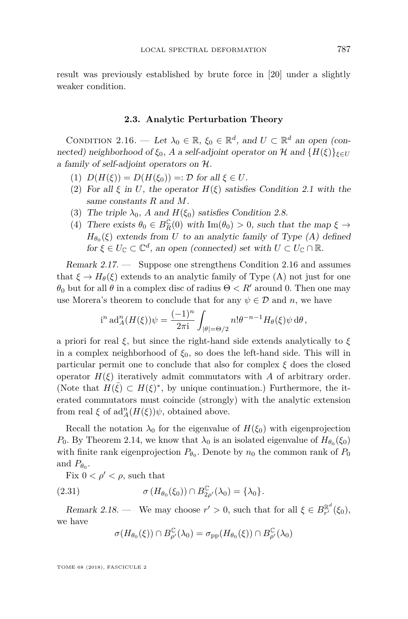result was previously established by brute force in [\[20\]](#page-37-12) under a slightly weaker condition.

#### **2.3. Analytic Perturbation Theory**

<span id="page-21-1"></span><span id="page-21-0"></span>CONDITION 2.16. — Let  $\lambda_0 \in \mathbb{R}$ ,  $\xi_0 \in \mathbb{R}^d$ , and  $U \subset \mathbb{R}^d$  an open (connected) neighborhood of  $\xi_0$ , *A* a self-adjoint operator on H and  ${H(\xi)}_{\xi \in U}$ a family of self-adjoint operators on H.

- <span id="page-21-4"></span>(1)  $D(H(\xi)) = D(H(\xi_0)) =: \mathcal{D}$  for all  $\xi \in U$ .
- <span id="page-21-5"></span>(2) For all  $\xi$  in *U*, the operator  $H(\xi)$  satisfies Condition [2.1](#page-6-2) with the same constants *R* and *M*.
- <span id="page-21-6"></span>(3) The triple  $\lambda_0$ , *A* and  $H(\xi_0)$  satisfies Condition [2.8.](#page-13-1)
- <span id="page-21-7"></span>(4) There exists  $\theta_0 \in B_R^{\mathbb{C}}(0)$  with  $\text{Im}(\theta_0) > 0$ , such that the map  $\xi \to$  $H_{\theta_0}(\xi)$  extends from *U* to an analytic family of Type (A) defined for  $\xi \in U_{\mathbb{C}} \subset \mathbb{C}^d$ , an open (connected) set with  $U \subset U_{\mathbb{C}} \cap \mathbb{R}$ .

Remark 2.17. — Suppose one strengthens Condition [2.16](#page-21-1) and assumes that  $\xi \to H_\theta(\xi)$  extends to an analytic family of Type (A) not just for one *θ*<sub>0</sub> but for all *θ* in a complex disc of radius  $Θ < R'$  around 0. Then one may use Morera's theorem to conclude that for any  $\psi \in \mathcal{D}$  and *n*, we have

$$
i^{n} \operatorname{ad}_{A}^{n}(H(\xi))\psi = \frac{(-1)^{n}}{2\pi i} \int_{|\theta|=\Theta/2} n!\theta^{-n-1} H_{\theta}(\xi)\psi \,d\theta,
$$

a priori for real *ξ*, but since the right-hand side extends analytically to *ξ* in a complex neighborhood of  $\xi_0$ , so does the left-hand side. This will in particular permit one to conclude that also for complex *ξ* does the closed operator  $H(\xi)$  iteratively admit commutators with *A* of arbitrary order. (Note that  $H(\bar{\xi}) \subset H(\xi)^*$ , by unique continuation.) Furthermore, the iterated commutators must coincide (strongly) with the analytic extension from real  $\xi$  of  $\text{ad}_{A}^{n}(H(\xi))\psi$ , obtained above.

Recall the notation  $\lambda_0$  for the eigenvalue of  $H(\xi_0)$  with eigenprojection *P*<sup>0</sup>. By Theorem [2.14,](#page-20-0) we know that  $\lambda_0$  is an isolated eigenvalue of  $H_{\theta_0}(\xi_0)$ with finite rank eigenprojection  $P_{\theta_0}$ . Denote by  $n_0$  the common rank of  $P_0$ and  $P_{\theta_0}$ .

Fix  $0 < \rho' < \rho$ , such that

(2.31) 
$$
\sigma(H_{\theta_0}(\xi_0)) \cap B_{2\rho'}^{\mathbb{C}}(\lambda_0) = {\lambda_0}.
$$

<span id="page-21-3"></span>Remark 2.18. — We may choose  $r' > 0$ , such that for all  $\xi \in B_{r'}^{\mathbb{R}^d}(\xi_0)$ , we have

<span id="page-21-2"></span>
$$
\sigma(H_{\theta_0}(\xi))\cap B_{\rho'}^{\mathbb{C}}(\lambda_0)=\sigma_{\mathrm{pp}}(H_{\theta_0}(\xi))\cap B_{\rho'}^{\mathbb{C}}(\lambda_0)
$$

TOME 68 (2018), FASCICULE 2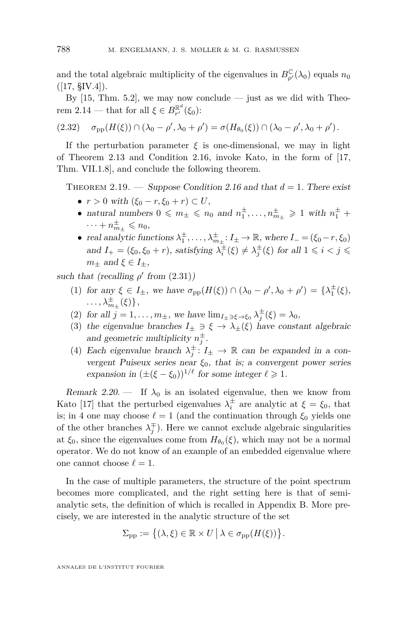and the total algebraic multiplicity of the eigenvalues in  $B_{\rho'}^{\mathbb{C}}(\lambda_0)$  equals  $n_0$  $([17, \, \text{SIV.4}]).$  $([17, \, \text{SIV.4}]).$  $([17, \, \text{SIV.4}]).$ 

By  $[15, Thm. 5.2]$  $[15, Thm. 5.2]$ , we may now conclude — just as we did with Theo-rem [2.14](#page-20-0) — that for all  $\xi \in B_{r'}^{\mathbb{R}^d}(\xi_0)$ :

<span id="page-22-2"></span>
$$
(2.32) \quad \sigma_{\rm pp}(H(\xi)) \cap (\lambda_0 - \rho', \lambda_0 + \rho') = \sigma(H_{\theta_0}(\xi)) \cap (\lambda_0 - \rho', \lambda_0 + \rho').
$$

If the perturbation parameter  $\xi$  is one-dimensional, we may in light of Theorem [2.13](#page-18-0) and Condition [2.16,](#page-21-1) invoke Kato, in the form of [\[17,](#page-37-2) Thm. VII.1.8], and conclude the following theorem.

<span id="page-22-0"></span>THEOREM 2.19. — Suppose Condition [2.16](#page-21-1) and that  $d = 1$ . There exist

- $r > 0$  with  $(\xi_0 r, \xi_0 + r) \subset U$ ,
- natural numbers  $0 \leq m_{\pm} \leq n_0$  and  $n_1^{\pm}, \ldots, n_{m_{\pm}}^{\pm} \geq 1$  with  $n_1^{\pm}$  +  $\cdots + n_{m_{\pm}}^{\pm} \leqslant n_0,$
- real analytic functions  $\lambda_1^{\pm}, \ldots, \lambda_{m_{\pm}}^{\pm} : I_{\pm} \to \mathbb{R}$ , where  $I_{-} = (\xi_0 r, \xi_0)$ and  $I_+ = (\xi_0, \xi_0 + r)$ , satisfying  $\lambda_i^{\pm}(\xi) \neq \lambda_j^{\pm}(\xi)$  for all  $1 \leq i < j \leq j$  $m_{\pm}$  and  $\xi \in I_{\pm}$ ,

such that (recalling  $\rho'$  from  $(2.31)$ )

- (1) for any  $\xi \in I_{\pm}$ , we have  $\sigma_{\text{pp}}(H(\xi)) \cap (\lambda_0 \rho', \lambda_0 + \rho') = {\lambda_1^{\pm}(\xi)},$  $\ldots, \lambda_{m_{\pm}}^{\pm}(\xi)\},$
- (2) for all  $j = 1, ..., m_{\pm}$ , we have  $\lim_{I_{\pm} \ni \xi \to \xi_0} \lambda_j^{\pm}(\xi) = \lambda_0$ ,
- (3) the eigenvalue branches  $I_{\pm} \ni \xi \to \lambda_{\pm}(\xi)$  have constant algebraic and geometric multiplicity  $n_j^{\pm}$ .
- <span id="page-22-1"></span>(4) Each eigenvalue branch  $\lambda_j^{\pm}$ :  $I_{\pm} \to \mathbb{R}$  can be expanded in a convergent Puiseux series near *ξ*0, that is; a convergent power series expansion in  $(\pm (\xi - \xi_0))^{1/\ell}$  for some integer  $\ell \geq 1$ .

Remark 2.20. — If  $\lambda_0$  is an isolated eigenvalue, then we know from Kato [\[17\]](#page-37-2) that the perturbed eigenvalues  $\lambda_i^{\pm}$  are analytic at  $\xi = \xi_0$ , that is; in [4](#page-22-1) one may choose  $\ell = 1$  (and the continuation through  $\xi_0$  yields one of the other branches  $\lambda_j^{\pm}$ ). Here we cannot exclude algebraic singularities at  $\xi_0$ , since the eigenvalues come from  $H_{\theta_0}(\xi)$ , which may not be a normal operator. We do not know of an example of an embedded eigenvalue where one cannot choose  $\ell = 1$ .

In the case of multiple parameters, the structure of the point spectrum becomes more complicated, and the right setting here is that of semianalytic sets, the definition of which is recalled in Appendix [B.](#page-35-1) More precisely, we are interested in the analytic structure of the set

$$
\Sigma_{\text{pp}} := \left\{ (\lambda, \xi) \in \mathbb{R} \times U \, \big| \, \lambda \in \sigma_{\text{pp}}(H(\xi)) \right\}.
$$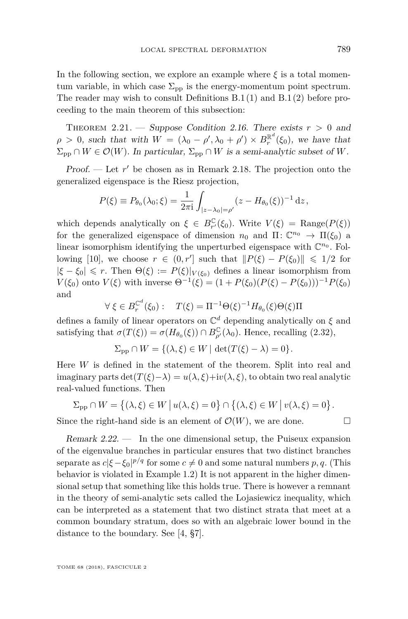In the following section, we explore an example where  $\xi$  is a total momentum variable, in which case  $\Sigma_{\rm{pp}}$  is the energy-momentum point spectrum. The reader may wish to consult Definitions [B.1](#page-35-2)[\(1\)](#page-35-3) and [B.1](#page-35-2)[\(2\)](#page-36-0) before proceeding to the main theorem of this subsection:

<span id="page-23-0"></span>THEOREM 2.21. — Suppose Condition [2.16.](#page-21-1) There exists  $r > 0$  and  $\rho > 0$ , such that with  $W = (\lambda_0 - \rho', \lambda_0 + \rho') \times B_r^{\mathbb{R}^d}(\xi_0)$ , we have that  $\Sigma_{\text{pp}} \cap W \in \mathcal{O}(W)$ . In particular,  $\Sigma_{\text{pp}} \cap W$  is a semi-analytic subset of W.

Proof. — Let  $r'$  be chosen as in Remark [2.18.](#page-21-3) The projection onto the generalized eigenspace is the Riesz projection,

$$
P(\xi) \equiv P_{\theta_0}(\lambda_0; \xi) = \frac{1}{2\pi i} \int_{|z - \lambda_0| = \rho'} (z - H_{\theta_0}(\xi))^{-1} dz,
$$

which depends analytically on  $\xi \in B_{r'}^{\mathbb{C}}(\xi_0)$ . Write  $V(\xi) = \text{Range}(P(\xi))$ for the generalized eigenspace of dimension  $n_0$  and  $\Pi: \mathbb{C}^{n_0} \to \Pi(\xi_0)$  a linear isomorphism identifying the unperturbed eigenspace with  $\mathbb{C}^{n_0}$ . Fol-lowing [\[10\]](#page-37-16), we choose  $r \in (0, r']$  such that  $||P(\xi) - P(\xi_0)|| \leq 1/2$  for  $|\xi - \xi_0| \leq r$ . Then  $\Theta(\xi) := P(\xi)|_{V(\xi_0)}$  defines a linear isomorphism from *V*(*ξ*<sub>0</sub>) onto *V*(*ξ*) with inverse  $Θ^{-1}(\xi) = (1 + P(\xi_0)(P(\xi) - P(\xi_0)))^{-1}P(\xi_0)$ and

$$
\forall \xi \in B_r^{\mathbb{C}^d}(\xi_0): \quad T(\xi) = \Pi^{-1} \Theta(\xi)^{-1} H_{\theta_0}(\xi) \Theta(\xi) \Pi
$$

defines a family of linear operators on C *<sup>d</sup>* depending analytically on *ξ* and satisfying that  $\sigma(T(\xi)) = \sigma(H_{\theta_0}(\xi)) \cap B_{\rho'}^{\mathbb{C}}(\lambda_0)$ . Hence, recalling [\(2.32\)](#page-22-2),

$$
\Sigma_{\text{pp}} \cap W = \{ (\lambda, \xi) \in W \mid \det(T(\xi) - \lambda) = 0 \}.
$$

Here *W* is defined in the statement of the theorem. Split into real and imaginary parts  $\det(T(\xi)-\lambda) = u(\lambda,\xi)+iv(\lambda,\xi)$ , to obtain two real analytic real-valued functions. Then

$$
\Sigma_{\rm pp} \cap W = \left\{ (\lambda, \xi) \in W \, \big| \, u(\lambda, \xi) = 0 \right\} \cap \left\{ (\lambda, \xi) \in W \, \big| \, v(\lambda, \xi) = 0 \right\}.
$$

Since the right-hand side is an element of  $\mathcal{O}(W)$ , we are done.

Remark  $2.22$ .  $\qquad$  In the one dimensional setup, the Puiseux expansion of the eigenvalue branches in particular ensures that two distinct branches separate as  $c|\xi-\xi_0|^{p/q}$  for some  $c\neq 0$  and some natural numbers p, q. (This behavior is violated in Example [1.2\)](#page-5-0) It is not apparent in the higher dimensional setup that something like this holds true. There is however a remnant in the theory of semi-analytic sets called the Lojasiewicz inequality, which can be interpreted as a statement that two distinct strata that meet at a common boundary stratum, does so with an algebraic lower bound in the distance to the boundary. See [\[4,](#page-37-17) §7].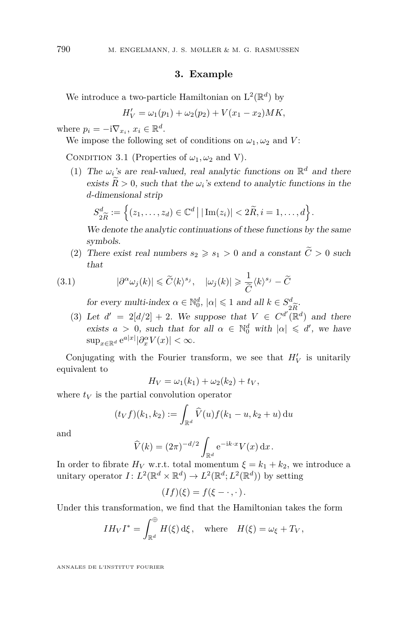#### **3. Example**

<span id="page-24-0"></span>We introduce a two-particle Hamiltonian on  $L^2(\mathbb{R}^d)$  by

$$
H'_{V} = \omega_1(p_1) + \omega_2(p_2) + V(x_1 - x_2)MK,
$$

where  $p_i = -i\nabla_{x_i}, x_i \in \mathbb{R}^d$ .

We impose the following set of conditions on  $\omega_1, \omega_2$  and *V*:

<span id="page-24-4"></span><span id="page-24-1"></span>CONDITION 3.1 (Properties of  $\omega_1, \omega_2$  and V).

(1) The  $\omega_i$ 's are real-valued, real analytic functions on  $\mathbb{R}^d$  and there exists  $R > 0$ , such that the  $\omega_i$ 's extend to analytic functions in the *d*-dimensional strip

$$
S_{2\widetilde{R}}^d := \left\{ (z_1, \ldots, z_d) \in \mathbb{C}^d \, \big| \, |\operatorname{Im}(z_i)| < 2\widetilde{R}, i = 1, \ldots, d \right\}.
$$
\nWe denote the analytic continuations of these functions by the same

symbols.

<span id="page-24-5"></span>(2) There exist real numbers  $s_2 \geq s_1 > 0$  and a constant  $\tilde{C} > 0$  such that

(3.1) 
$$
|\partial^{\alpha}\omega_j(k)| \leq \widetilde{C}\langle k \rangle^{s_j}, \quad |\omega_j(k)| \geq \frac{1}{\widetilde{C}}\langle k \rangle^{s_j} - \widetilde{C}
$$

<span id="page-24-2"></span>for every multi-index  $\alpha \in \mathbb{N}_0^d$ ,  $|\alpha| \leq 1$  and all  $k \in S_{2\widetilde{R}}^d$ .

<span id="page-24-3"></span>(3) Let  $d' = 2[d/2] + 2$ . We suppose that  $V \in C^{d'}(\mathbb{R}^d)$  and there exists  $a > 0$ , such that for all  $\alpha \in \mathbb{N}_0^d$  with  $|\alpha| \leq d'$ , we have  $\sup_{x \in \mathbb{R}^d} e^{a|x|} |\partial_x^{\alpha} V(x)| < \infty.$ 

Conjugating with the Fourier transform, we see that  $H_V'$  is unitarily equivalent to

$$
H_V = \omega_1(k_1) + \omega_2(k_2) + t_V,
$$

where  $t_V$  is the partial convolution operator

$$
(t_V f)(k_1, k_2) := \int_{\mathbb{R}^d} \widehat{V}(u) f(k_1 - u, k_2 + u) \, \mathrm{d}u
$$

and

$$
\widehat{V}(k) = (2\pi)^{-d/2} \int_{\mathbb{R}^d} e^{-ik \cdot x} V(x) dx.
$$

In order to fibrate  $H_V$  w.r.t. total momentum  $\xi = k_1 + k_2$ , we introduce a unitary operator  $I: L^2(\mathbb{R}^d \times \mathbb{R}^d) \to L^2(\mathbb{R}^d; L^2(\mathbb{R}^d))$  by setting

$$
(If)(\xi)=f(\xi-\cdot,\cdot).
$$

Under this transformation, we find that the Hamiltonian takes the form

$$
IH_VI^* = \int_{\mathbb{R}^d}^{\oplus} H(\xi) \,d\xi, \quad \text{where} \quad H(\xi) = \omega_{\xi} + T_V,
$$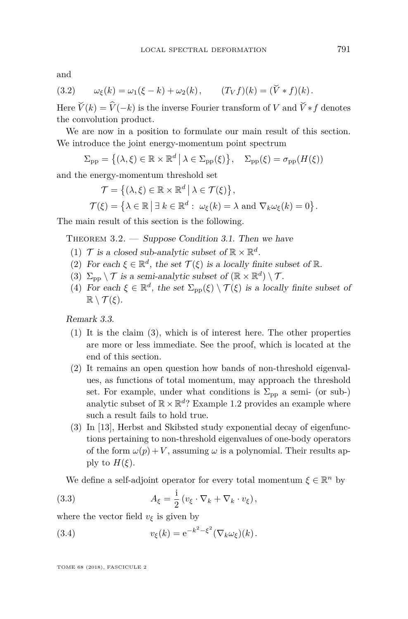and

(3.2) 
$$
\omega_{\xi}(k) = \omega_1(\xi - k) + \omega_2(k), \qquad (T_V f)(k) = (\tilde{V} * f)(k).
$$

Here  $\widetilde{V}(k) = \widehat{V}(-k)$  is the inverse Fourier transform of *V* and  $\widetilde{V} * f$  denotes the convolution product.

We are now in a position to formulate our main result of this section. We introduce the joint energy-momentum point spectrum

 $\Sigma_{\rm pp} = \{ (\lambda, \xi) \in \mathbb{R} \times \mathbb{R}^d \mid \lambda \in \Sigma_{\rm pp}(\xi) \}, \quad \Sigma_{\rm pp}(\xi) = \sigma_{\rm pp}(H(\xi))$ 

and the energy-momentum threshold set

$$
\mathcal{T} = \{ (\lambda, \xi) \in \mathbb{R} \times \mathbb{R}^d \mid \lambda \in \mathcal{T}(\xi) \},
$$
  

$$
\mathcal{T}(\xi) = \{ \lambda \in \mathbb{R} \mid \exists \ k \in \mathbb{R}^d : \omega_{\xi}(k) = \lambda \text{ and } \nabla_k \omega_{\xi}(k) = 0 \}.
$$

The main result of this section is the following.

<span id="page-25-2"></span><span id="page-25-1"></span>THEOREM  $3.2.$  — Suppose Condition [3.1.](#page-24-1) Then we have

- (1)  $\mathcal{T}$  is a closed sub-analytic subset of  $\mathbb{R} \times \mathbb{R}^d$ .
- <span id="page-25-3"></span>(2) For each  $\xi \in \mathbb{R}^d$ , the set  $\mathcal{T}(\xi)$  is a locally finite subset of  $\mathbb{R}$ .
- <span id="page-25-0"></span>(3)  $\Sigma_{\rm pp} \setminus \mathcal{T}$  is a semi-analytic subset of  $(\mathbb{R} \times \mathbb{R}^d) \setminus \mathcal{T}$ .
- <span id="page-25-4"></span>(4) For each  $\xi \in \mathbb{R}^d$ , the set  $\Sigma_{\rm pp}(\xi) \setminus \mathcal{T}(\xi)$  is a locally finite subset of  $\mathbb{R} \setminus \mathcal{T}(\xi)$ .

Remark 3.3.

- (1) It is the claim [\(3\)](#page-25-0), which is of interest here. The other properties are more or less immediate. See the proof, which is located at the end of this section.
- (2) It remains an open question how bands of non-threshold eigenvalues, as functions of total momentum, may approach the threshold set. For example, under what conditions is  $\Sigma_{\rm pp}$  a semi- (or sub-) analytic subset of  $\mathbb{R} \times \mathbb{R}^d$ ? Example [1.2](#page-5-0) provides an example where such a result fails to hold true.
- (3) In [\[13\]](#page-37-18), Herbst and Skibsted study exponential decay of eigenfunctions pertaining to non-threshold eigenvalues of one-body operators of the form  $\omega(p) + V$ , assuming  $\omega$  is a polynomial. Their results apply to  $H(\xi)$ .

We define a self-adjoint operator for every total momentum  $\xi \in \mathbb{R}^n$  by

(3.3) 
$$
A_{\xi} = \frac{i}{2} (v_{\xi} \cdot \nabla_k + \nabla_k \cdot v_{\xi}),
$$

where the vector field  $v_{\xi}$  is given by

(3.4) 
$$
v_{\xi}(k) = e^{-k^2 - \xi^2} (\nabla_k \omega_{\xi})(k).
$$

TOME 68 (2018), FASCICULE 2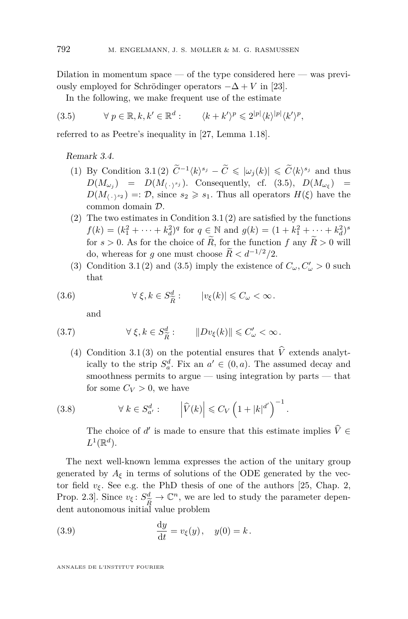Dilation in momentum space — of the type considered here — was previously employed for Schrödinger operators  $-\Delta + V$  in [\[23\]](#page-38-4).

<span id="page-26-0"></span>In the following, we make frequent use of the estimate

$$
(3.5) \qquad \forall \ p \in \mathbb{R}, k, k' \in \mathbb{R}^d: \qquad \langle k + k' \rangle^p \leqslant 2^{|p|} \langle k \rangle^{|p|} \langle k' \rangle^p,
$$

referred to as Peetre's inequality in [\[27,](#page-38-5) Lemma 1.18].

#### <span id="page-26-6"></span><span id="page-26-5"></span>Remark 3.4.

- (1) By Condition [3.1](#page-24-1)[\(2\)](#page-24-2)  $\widetilde{C}^{-1}\langle k \rangle^{s_j} \widetilde{C} \leqslant |\omega_j(k)| \leqslant \widetilde{C} \langle k \rangle^{s_j}$  and thus  $D(M_{\omega_j}) = D(M_{\langle \cdot, \cdot \rangle^{s_j}})$ . Consequently, cf. [\(3.5\)](#page-26-0),  $D(M_{\omega_{\xi}}) =$  $D(M_{\langle \cdot \rangle^{s_2}}) =: \mathcal{D}$ , since  $s_2 \geq s_1$ . Thus all operators  $H(\xi)$  have the common domain D.
- [\(2\)](#page-24-2) The two estimates in Condition  $3.1(2)$  $3.1(2)$  are satisfied by the functions  $f(k) = (k_1^2 + \dots + k_d^2)^q$  for  $q \in \mathbb{N}$  and  $g(k) = (1 + k_1^2 + \dots + k_d^2)^s$ for  $s > 0$ . As for the choice of  $\widetilde{R}$ , for the function f any  $\widetilde{R} > 0$  will do, whereas for *g* one must choose  $\widetilde{R} < d^{-1/2}/2$ .
- (3) Condition [3.1](#page-24-1)[\(2\)](#page-24-2) and [\(3.5\)](#page-26-0) imply the existence of  $C_{\omega}, C'_{\omega} > 0$  such that

(3.6) 
$$
\forall \xi, k \in S_{\widetilde{R}}^d: \qquad |v_{\xi}(k)| \leq C_{\omega} < \infty.
$$

<span id="page-26-3"></span><span id="page-26-2"></span>and

(3.7) 
$$
\forall \xi, k \in S_{\widetilde{R}}^{d}: \qquad \|Dv_{\xi}(k)\| \leq C'_{\omega} < \infty.
$$

(4) Condition [3.1](#page-24-1)[\(3\)](#page-24-3) on the potential ensures that *V* extends analytically to the strip  $S_a^d$ . Fix an  $a' \in (0, a)$ . The assumed decay and smoothness permits to argue  $-$  using integration by parts  $-$  that for some  $C_V > 0$ , we have

(3.8) 
$$
\forall k \in S_{a'}^d: \qquad \left| \widehat{V}(k) \right| \leq C_V \left( 1 + |k|^{d'} \right)^{-1}
$$

<span id="page-26-4"></span>The choice of *d'* is made to ensure that this estimate implies  $\hat{V} \in$  $L^1(\mathbb{R}^d)$ .

*.*

The next well-known lemma expresses the action of the unitary group generated by  $A_{\xi}$  in terms of solutions of the ODE generated by the vector field  $v_{\xi}$ . See e.g. the PhD thesis of one of the authors [\[25,](#page-38-6) Chap. 2, Prop. 2.3. Since  $v_{\xi}: S^d_{\widetilde{P}} \to \mathbb{C}^n$ , we are led to study the parameter depen- $\frac{R}{R}$  dent autonomous initial value problem

<span id="page-26-1"></span>(3.9) 
$$
\frac{dy}{dt} = v_{\xi}(y), \quad y(0) = k.
$$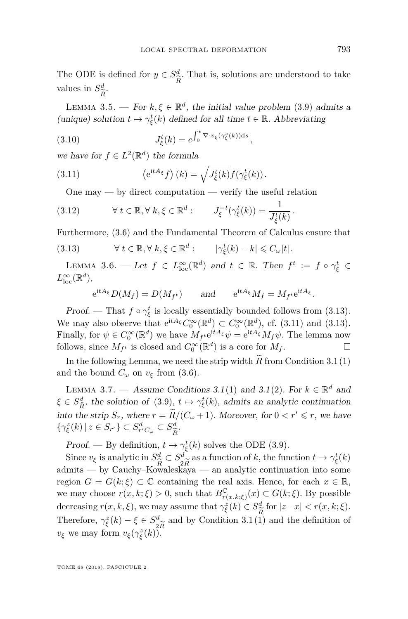The ODE is defined for  $y \in S^d_{\tilde{r}}$  $\frac{a}{\tilde{R}}$ . That is, solutions are understood to take values in  $S^d_{\widetilde{P}}$ . *R*e

LEMMA 3.5. — For  $k, \xi \in \mathbb{R}^d$ , the initial value problem [\(3.9\)](#page-26-1) admits a (unique) solution  $t \mapsto \gamma_{\xi}^{t}(k)$  defined for all time  $t \in \mathbb{R}$ . Abbreviating

<span id="page-27-4"></span>(3.10) 
$$
J_{\xi}^{t}(k) = e^{\int_0^t \nabla \cdot v_{\xi}(\gamma_{\xi}^{s}(k))ds},
$$

we have for  $f \in L^2(\mathbb{R}^d)$  the formula

(3.11) 
$$
\left(e^{\mathrm{i}tA_{\xi}}f\right)(k) = \sqrt{J_{\xi}^{t}(k)}f(\gamma_{\xi}^{t}(k)).
$$

<span id="page-27-2"></span><span id="page-27-1"></span>One may  $-$  by direct computation  $-$  verify the useful relation

(3.12) 
$$
\forall t \in \mathbb{R}, \forall k, \xi \in \mathbb{R}^d: J_{\xi}^{-t}(\gamma_{\xi}^t(k)) = \frac{1}{J_{\xi}^t(k)}.
$$

Furthermore, [\(3.6\)](#page-26-2) and the Fundamental Theorem of Calculus ensure that

(3.13) 
$$
\forall t \in \mathbb{R}, \forall k, \xi \in \mathbb{R}^d: \qquad |\gamma_{\xi}^t(k) - k| \leq C_{\omega}|t|.
$$

<span id="page-27-5"></span>LEMMA 3.6. — Let  $f \in L^{\infty}_{loc}(\mathbb{R}^d)$  and  $t \in \mathbb{R}$ . Then  $f^t := f \circ \gamma_{\xi}^t \in$  $L^{\infty}_{\text{loc}}(\mathbb{R}^d)$ ,

<span id="page-27-0"></span>
$$
e^{itA_{\xi}}D(M_f) = D(M_{f^t})
$$
 and  $e^{itA_{\xi}}M_f = M_{f^t}e^{itA_{\xi}}$ .

*Proof.* — That  $f \circ \gamma_{\xi}^{t}$  is locally essentially bounded follows from [\(3.13\)](#page-27-0). We may also observe that  $e^{itA_{\xi}}C_0^{\infty}(\mathbb{R}^d) \subset C_0^{\infty}(\mathbb{R}^d)$ , cf. [\(3.11\)](#page-27-1) and [\(3.13\)](#page-27-0). Finally, for  $\psi \in C_0^{\infty}(\mathbb{R}^d)$  we have  $M_{f^t}e^{itA_{\xi}}\psi = e^{itA_{\xi}}M_f\psi$ . The lemma now follows, since  $M_{f^t}$  is closed and  $C_0^{\infty}(\mathbb{R}^d)$  is a core for  $M_f$ .

In the following Lemma, we need the strip width  $\overline{R}$  from Condition [3.1](#page-24-1)[\(1\)](#page-24-4) and the bound  $C_\omega$  on  $v_\xi$  from [\(3.6\)](#page-26-2).

<span id="page-27-3"></span>LEMMA 3.7. — Assume Conditions [3.1](#page-24-1)[\(1\)](#page-24-4) and 3.1[\(2\)](#page-24-2). For  $k \in \mathbb{R}^d$  and  $\xi \in S_{\tilde{R}}^d$ , the solution of [\(3.9\)](#page-26-1),  $t \mapsto \gamma_{\xi}^t(k)$ , admits an analytic continuation into the strip  $S_r$ , where  $r = \widetilde{R}/(C_\omega + 1)$ . Moreover, for  $0 < r' \le r$ , we have  $\{\gamma_{\xi}^{z}(k) \mid z \in S_{r'}\} \subset S_{r'C_{\omega}}^{d} \subset S_{\widetilde{R}}^{d}.$ 

*R*efort  $\overline{R}$  *R*efinition,  $t \to \gamma \xi(k)$  solves the ODE [\(3.9\)](#page-26-1).

Since  $v_{\xi}$  is analytic in  $S_{\tilde{t}}^d$ *R*e ⊂ *S d* 2*R*e as a function of *k*, the function  $t \to \gamma_{\xi}^{t}(k)$ admits — by Cauchy–Kowaleskaya — an analytic continuation into some region  $G = G(k;\xi) \subset \mathbb{C}$  containing the real axis. Hence, for each  $x \in \mathbb{R}$ , we may choose  $r(x, k; \xi) > 0$ , such that  $B^{\mathbb{C}}_{r(x, k; \xi)}(x) \subset G(k; \xi)$ . By possible decreasing  $r(x, k, \xi)$ , we may assume that  $\gamma_{\xi}^{z}(k) \in S_{\widetilde{R}}^{d}$  for  $|z-x| < r(x, k; \xi)$ . Therefore,  $\gamma_{\xi}^{z}(k) - \xi \in S_{2\widetilde{R}}^{d}$  and by Condition 3.1(1)  $\frac{d}{2\widetilde{R}}$  and by Condition [3.1](#page-24-1)[\(1\)](#page-24-4) and the definition of  $\widetilde{R}$ . *v*<sub>ξ</sub> we may form  $v_{\xi}(\gamma_{\xi}^{z}(k))$ .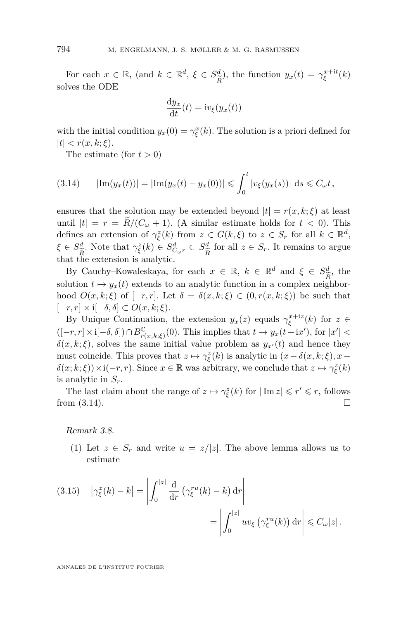For each  $x \in \mathbb{R}$ , (and  $k \in \mathbb{R}^d$ ,  $\xi \in S^d_{\widehat{\tau}}$  $y_x(t) = \gamma_{\xi}^{x+it}(k)$ solves the ODE

$$
\frac{\mathrm{d}y_x}{\mathrm{d}t}(t) = \mathrm{i}v_{\xi}(y_x(t))
$$

with the initial condition  $y_x(0) = \gamma_{\xi}^x(k)$ . The solution is a priori defined for  $|t| < r(x, k; \xi)$ .

<span id="page-28-0"></span>The estimate (for  $t > 0$ )

$$
(3.14) \qquad |\text{Im}(y_x(t))| = |\text{Im}(y_x(t) - y_x(0))| \leq \int_0^t |v_{\xi}(y_x(s))| \, ds \leq C_{\omega} t,
$$

ensures that the solution may be extended beyond  $|t| = r(x, k; \xi)$  at least until  $|t| = r = \widetilde{R}/(C_{\omega} + 1)$ . (A similar estimate holds for  $t < 0$ ). This defines an extension of  $\gamma_{\xi}^{z}(k)$  from  $z \in G(k,\xi)$  to  $z \in S_r$  for all  $k \in \mathbb{R}^d$ ,  $\xi \in S_{\widetilde{B}}^d$ . Note that  $\gamma_{\xi}^z(k) \in S_{C_{\omega}r}^d \subset S_{\widetilde{B}}^d$ that the extension is analytic. *R*e for all  $z \in S_r$ . It remains to argue

By Cauchy–Kowaleskaya, for each  $x \in \mathbb{R}$ ,  $k \in \mathbb{R}^d$  and  $\xi \in S^d_{\widetilde{\sigma}}$ , the solution  $t \mapsto y_x(t)$  extends to an analytic function in a complex neighborhood  $O(x, k; \xi)$  of  $[-r, r]$ . Let  $\delta = \delta(x, k; \xi) \in (0, r(x, k; \xi))$  be such that [−*r, r*] × i[−*δ, δ*] ⊂ *O*(*x, k*; *ξ*).

By Unique Continuation, the extension  $y_x(z)$  equals  $\gamma_{\xi}^{x+iz}(k)$  for  $z \in$  $([-r, r] \times \mathbf{i}[-\delta, \delta]) \cap B_{r(x, k; \xi)}^{\mathbb{C}}(0)$ . This implies that  $t \to y_x(t + \mathbf{i}x')$ , for  $|x'|$  <  $\delta(x, k; \xi)$ , solves the same initial value problem as  $y_{x}(t)$  and hence they must coincide. This proves that  $z \mapsto \gamma_{\xi}^{z}(k)$  is analytic in  $(x - \delta(x, k; \xi), x +$  $\delta(x; k; \xi)$ ) × **i**( $-r, r$ ). Since  $x \in \mathbb{R}$  was arbitrary, we conclude that  $z \mapsto \gamma_{\xi}^{z}(k)$ is analytic in  $S_r$ .

The last claim about the range of  $z \mapsto \gamma_{\xi}^{z}(k)$  for  $|\operatorname{Im} z| \leqslant r' \leqslant r$ , follows from  $(3.14)$ .

Remark 3.8.

(1) Let  $z \in S_r$  and write  $u = z/|z|$ . The above lemma allows us to estimate

<span id="page-28-1"></span>(3.15) 
$$
\left| \gamma_{\xi}^{z}(k) - k \right| = \left| \int_{0}^{|z|} \frac{d}{dr} \left( \gamma_{\xi}^{ru}(k) - k \right) dr \right|
$$

$$
= \left| \int_{0}^{|z|} uv_{\xi} \left( \gamma_{\xi}^{ru}(k) \right) dr \right| \leq C_{\omega} |z|.
$$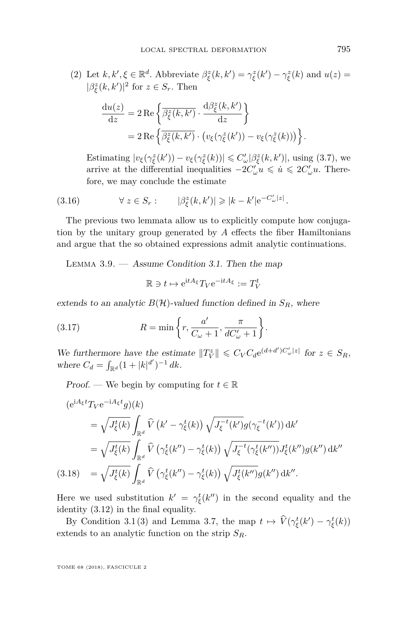(2) Let 
$$
k, k', \xi \in \mathbb{R}^d
$$
. Abbreviate  $\beta_{\xi}^z(k, k') = \gamma_{\xi}^z(k') - \gamma_{\xi}^z(k)$  and  $u(z) = |\beta_{\xi}^z(k, k')|^2$  for  $z \in S_r$ . Then

$$
\frac{\mathrm{d}u(z)}{\mathrm{d}z} = 2 \operatorname{Re} \left\{ \frac{\overline{\beta}_{\xi}^{z}(k, k')}{\overline{\beta}_{\xi}^{z}(k, k')} \cdot \frac{\mathrm{d} \beta_{\xi}^{z}(k, k')}{\mathrm{d}z} \right\}
$$
\n
$$
= 2 \operatorname{Re} \left\{ \frac{\overline{\beta}_{\xi}^{z}(k, k')}{\overline{\beta}_{\xi}^{z}(k, k')} \cdot \left( v_{\xi}(\gamma_{\xi}^{z}(k')) - v_{\xi}(\gamma_{\xi}^{z}(k)) \right) \right\}
$$

<span id="page-29-1"></span>Estimating  $|v_{\xi}(\gamma_{\xi}^{z}(k')) - v_{\xi}(\gamma_{\xi}^{z}(k))| \leqslant C'_{\omega}|\beta_{\xi}^{z}(k, k')|$ , using [\(3.7\)](#page-26-3), we arrive at the differential inequalities  $-2C'_{\omega}u \leq u \leq 2C'_{\omega}u$ . Therefore, we may conclude the estimate

(3.16) 
$$
\forall z \in S_r: \qquad |\beta_{\xi}^z(k, k')| \geqslant |k - k'| e^{-C'_{\omega}|z|}.
$$

The previous two lemmata allow us to explicitly compute how conjugation by the unitary group generated by *A* effects the fiber Hamiltonians and argue that the so obtained expressions admit analytic continuations.

<span id="page-29-3"></span>LEMMA  $3.9.$  — Assume Condition [3.1.](#page-24-1) Then the map

<span id="page-29-2"></span>
$$
\mathbb{R} \ni t \mapsto e^{\mathrm{i}tA_{\xi}} T_V e^{-\mathrm{i}tA_{\xi}} := T_V^t
$$

extends to an analytic  $B(\mathcal{H})$ -valued function defined in  $S_R$ , where

(3.17) 
$$
R = \min\left\{r, \frac{a'}{C_{\omega} + 1}, \frac{\pi}{dC_{\omega}'+1}\right\}.
$$

We furthermore have the estimate  $||T_V^z|| \leq C_V C_d e^{(d+d')C'_\omega|z|}$  for  $z \in S_R$ , where  $C_d = \int_{\mathbb{R}^d} (1 + |k|^{d'})^{-1} dk$ .

Proof. — We begin by computing for  $t \in \mathbb{R}$ 

$$
(e^{iA_{\xi}t}T_{V}e^{-iA_{\xi}t}g)(k)
$$
  
\n
$$
= \sqrt{J_{\xi}^{t}(k)} \int_{\mathbb{R}^{d}} \widehat{V}(k'-\gamma_{\xi}^{t}(k)) \sqrt{J_{\xi}^{-t}(k')g(\gamma_{\xi}^{-t}(k'))} dk'
$$
  
\n
$$
= \sqrt{J_{\xi}^{t}(k)} \int_{\mathbb{R}^{d}} \widehat{V}(\gamma_{\xi}^{t}(k'') - \gamma_{\xi}^{t}(k)) \sqrt{J_{\xi}^{-t}(\gamma_{\xi}^{t}(k''))} J_{\xi}^{t}(k'')g(k'') dk''
$$
  
\n(3.18) 
$$
= \sqrt{J_{\xi}^{t}(k)} \int_{\mathbb{R}^{d}} \widehat{V}(\gamma_{\xi}^{t}(k'') - \gamma_{\xi}^{t}(k)) \sqrt{J_{\xi}^{t}(k'')g(k'')} dk''.
$$

<span id="page-29-0"></span>Here we used substitution  $k' = \gamma_{\xi}^{t}(k'')$  in the second equality and the identity [\(3.12\)](#page-27-2) in the final equality.

By Condition [3.1](#page-24-1)[\(3\)](#page-24-3) and Lemma [3.7,](#page-27-3) the map  $t \mapsto \widehat{V}(\gamma_{\xi}^t(k') - \gamma_{\xi}^t(k))$ extends to an analytic function on the strip *SR*.

TOME 68 (2018), FASCICULE 2

*.*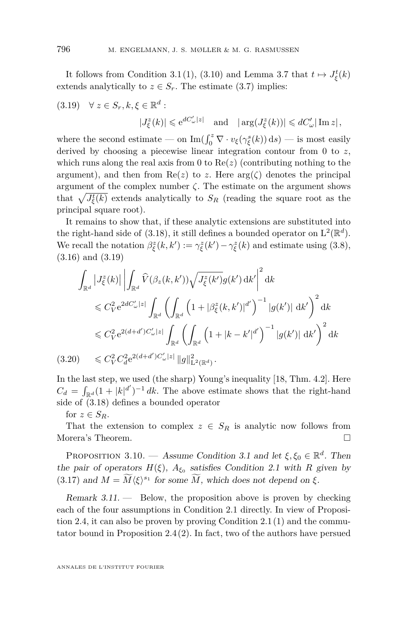It follows from Condition [3.1](#page-24-1)[\(1\)](#page-24-4), [\(3.10\)](#page-27-4) and Lemma [3.7](#page-27-3) that  $t \mapsto J_{\xi}^{t}(k)$ extends analytically to  $z \in S_r$ . The estimate [\(3.7\)](#page-26-3) implies:

<span id="page-30-0"></span>(3.19) 
$$
\forall z \in S_r, k, \xi \in \mathbb{R}^d
$$
:  
 $|J_{\xi}^z(k)| \leq e^{dC_{\omega}'|z|}$  and  $|\arg(J_{\xi}^z(k))| \leq dC_{\omega}'|\operatorname{Im} z|$ ,

where the second estimate — on  $\text{Im}(\int_0^z \nabla \cdot v_{\xi}(\gamma_{\xi}^s(k)) ds)$  — is most easily derived by choosing a piecewise linear integration contour from 0 to *z*, which runs along the real axis from 0 to  $Re(z)$  (contributing nothing to the argument), and then from  $\text{Re}(z)$  to z. Here  $\arg(\zeta)$  denotes the principal argument of the complex number  $\zeta$ . The estimate on the argument shows that  $\sqrt{J_{\xi}^{t}(k)}$  extends analytically to  $S_R$  (reading the square root as the principal square root).

It remains to show that, if these analytic extensions are substituted into the right-hand side of  $(3.18)$ , it still defines a bounded operator on  $L^2(\mathbb{R}^d)$ . We recall the notation  $\beta_{\xi}^{z}(k, k') := \gamma_{\xi}^{z}(k') - \gamma_{\xi}^{z}(k)$  and estimate using [\(3.8\)](#page-26-4), [\(3.16\)](#page-29-1) and [\(3.19\)](#page-30-0)

$$
\int_{\mathbb{R}^d} |J_{\xi}^{z}(k)| \left| \int_{\mathbb{R}^d} \widehat{V}(\beta_z(k, k')) \sqrt{J_{\xi}^{z}(k')} g(k') \, \mathrm{d}k' \right|^2 \, \mathrm{d}k
$$
\n
$$
\leq C_V^2 e^{2dC'_{\omega}|z|} \int_{\mathbb{R}^d} \left( \int_{\mathbb{R}^d} \left( 1 + |\beta_{\xi}^{z}(k, k')|^{d'} \right)^{-1} |g(k')| \, \mathrm{d}k' \right)^2 \, \mathrm{d}k
$$
\n
$$
\leq C_V^2 e^{2(d+d')C'_{\omega}|z|} \int_{\mathbb{R}^d} \left( \int_{\mathbb{R}^d} \left( 1 + |k - k'|^{d'} \right)^{-1} |g(k')| \, \mathrm{d}k' \right)^2 \, \mathrm{d}k
$$
\n
$$
(3.20) \leq C_V^2 C_d^2 e^{2(d+d')C'_{\omega}|z|} ||g||_{\mathcal{L}^2(\mathbb{R}^d)}^2.
$$

In the last step, we used (the sharp) Young's inequality [\[18,](#page-37-19) Thm. 4.2]. Here  $C_d = \int_{\mathbb{R}^d} (1 + |k|^{d'})^{-1} dk$ . The above estimate shows that the right-hand side of [\(3.18\)](#page-29-0) defines a bounded operator

for  $z \in S_R$ .

That the extension to complex  $z \in S_R$  is analytic now follows from Morera's Theorem.

<span id="page-30-1"></span>PROPOSITION [3.1](#page-24-1)0. — Assume Condition 3.1 and let  $\xi, \xi_0 \in \mathbb{R}^d$ . Then the pair of operators  $H(\xi)$ ,  $A_{\xi_0}$  satisfies Condition [2.1](#page-6-2) with R given by [\(3.17\)](#page-29-2) and  $M = \widetilde{M} \langle \xi \rangle^{s_1}$  for some  $\widetilde{M}$ , which does not depend on  $\xi$ .

Remark  $3.11$ .  $-$  Below, the proposition above is proven by checking each of the four assumptions in Condition [2.1](#page-6-2) directly. In view of Proposition [2.4,](#page-8-5) it can also be proven by proving Condition [2.1](#page-6-2)[\(1\)](#page-6-3) and the commutator bound in Proposition [2.4](#page-8-5)[\(2\)](#page-8-2). In fact, two of the authors have persued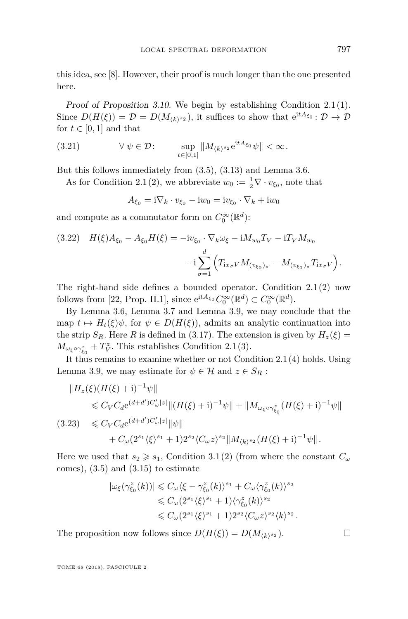this idea, see [\[8\]](#page-37-20). However, their proof is much longer than the one presented here.

Proof of Proposition [3.10.](#page-30-1) We begin by establishing Condition [2.1\(](#page-6-2)[1\)](#page-6-3). Since  $D(H(\xi)) = \mathcal{D} = D(M_{\langle k \rangle^{s_2}})$ , it suffices to show that  $e^{itA_{\xi_0}} \colon \mathcal{D} \to \mathcal{D}$ for  $t \in [0, 1]$  and that

(3.21) 
$$
\forall \psi \in \mathcal{D}: \qquad \sup_{t \in [0,1]} \|M_{\langle k \rangle^{s_2}} e^{itA_{\xi_0}} \psi \| < \infty.
$$

But this follows immediately from [\(3.5\)](#page-26-0), [\(3.13\)](#page-27-0) and Lemma [3.6.](#page-27-5)

As for Condition [2.1\(](#page-6-2)[2\)](#page-6-4), we abbreviate  $w_0 := \frac{1}{2} \nabla \cdot v_{\xi_0}$ , note that

$$
A_{\xi_0} = \mathrm{i} \nabla_k \cdot v_{\xi_0} - \mathrm{i} w_0 = \mathrm{i} v_{\xi_0} \cdot \nabla_k + \mathrm{i} w_0
$$

and compute as a commutator form on  $C_0^{\infty}(\mathbb{R}^d)$ :

<span id="page-31-0"></span>(3.22) 
$$
H(\xi)A_{\xi_0} - A_{\xi_0}H(\xi) = -iv_{\xi_0} \cdot \nabla_k \omega_{\xi} - iM_{w_0}T_V - iT_V M_{w_0} - i \sum_{\sigma=1}^d \left( T_{ix_{\sigma}V} M_{(v_{\xi_0})_{\sigma}} - M_{(v_{\xi_0})_{\sigma}} T_{ix_{\sigma}V} \right)
$$

The right-hand side defines a bounded operator. Condition [2.1](#page-6-2)[\(2\)](#page-6-4) now follows from [\[22,](#page-37-5) Prop. II.1], since  $e^{itA_{\xi_0}}C_0^{\infty}(\mathbb{R}^d) \subset C_0^{\infty}(\mathbb{R}^d)$ .

By Lemma [3.6,](#page-27-5) Lemma [3.7](#page-27-3) and Lemma [3.9,](#page-29-3) we may conclude that the map  $t \mapsto H_t(\xi)\psi$ , for  $\psi \in D(H(\xi))$ , admits an analytic continuation into the strip  $S_R$ . Here *R* is defined in [\(3.17\)](#page-29-2). The extension is given by  $H_z(\xi)$  =  $M_{\omega_{\xi} \circ \gamma_{\xi_0}^z} + T_V^z$ . This establishes Condition [2.1](#page-6-2)[\(3\)](#page-6-5).

It thus remains to examine whether or not Condition [2.1\(](#page-6-2)[4\)](#page-6-6) holds. Using Lemma [3.9,](#page-29-3) we may estimate for  $\psi \in \mathcal{H}$  and  $z \in S_R$ :

$$
||H_z(\xi)(H(\xi) + i)^{-1}\psi||
$$
  
\n
$$
\leq C_V C_d e^{(d+d')C'_\omega|z|} ||(H(\xi) + i)^{-1}\psi|| + ||M_{\omega_\xi \circ \gamma_{\xi_0}^z} (H(\xi) + i)^{-1}\psi||
$$
  
\n(3.23) 
$$
\leq C_V C_d e^{(d+d')C'_\omega|z|} ||\psi||
$$
  
\n
$$
+ C_\omega (2^{s_1} \langle \xi \rangle^{s_1} + 1) 2^{s_2} \langle C_\omega z \rangle^{s_2} ||M_{\langle k \rangle^{s_2}} (H(\xi) + i)^{-1}\psi||.
$$

Here we used that  $s_2 \geq s_1$ , Condition [3.1](#page-24-1)[\(2\)](#page-24-5) (from where the constant  $C_\omega$ comes),  $(3.5)$  and  $(3.15)$  to estimate

$$
\begin{aligned} |\omega_{\xi}(\gamma_{\xi_0}^z(k))|&\leqslant C_{\omega}\langle \xi-\gamma_{\xi_0}^z(k)\rangle^{s_1}+C_{\omega}\langle \gamma_{\xi_0}^z(k)\rangle^{s_2}\\ &\leqslant C_{\omega}(2^{s_1}\langle \xi\rangle^{s_1}+1)\langle \gamma_{\xi_0}^z(k)\rangle^{s_2}\\ &\leqslant C_{\omega}(2^{s_1}\langle \xi\rangle^{s_1}+1)2^{s_2}\langle C_{\omega}z\rangle^{s_2}\langle k\rangle^{s_2}\,. \end{aligned}
$$

The proposition now follows since  $D(H(\xi)) = D(M_{\langle k \rangle^{s_2}})$ .

TOME 68 (2018), FASCICULE 2

*.*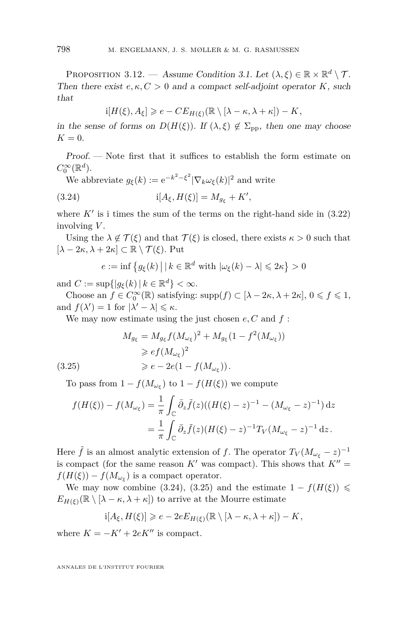<span id="page-32-2"></span>PROPOSITION 3.12. — Assume Condition [3.1.](#page-24-1) Let  $(\lambda, \xi) \in \mathbb{R} \times \mathbb{R}^d \setminus \mathcal{T}$ . Then there exist  $e, \kappa, C > 0$  and a compact self-adjoint operator *K*, such that

$$
i[H(\xi), A_{\xi}] \geqslant e - CE_{H(\xi)}(\mathbb{R} \setminus [\lambda - \kappa, \lambda + \kappa]) - K,
$$

in the sense of forms on  $D(H(\xi))$ . If  $(\lambda, \xi) \notin \Sigma_{\text{nn}}$ , then one may choose  $K = 0$ .

Proof. — Note first that it suffices to establish the form estimate on  $C_0^{\infty}(\mathbb{R}^d)$ .

We abbreviate  $g_{\xi}(k) := e^{-k^2 - \xi^2} |\nabla_k \omega_{\xi}(k)|^2$  and write

(3.24) 
$$
i[A_{\xi}, H(\xi)] = M_{g_{\xi}} + K',
$$

where  $K'$  is i times the sum of the terms on the right-hand side in  $(3.22)$ involving *V* .

Using the  $\lambda \notin \mathcal{T}(\xi)$  and that  $\mathcal{T}(\xi)$  is closed, there exists  $\kappa > 0$  such that  $[\lambda - 2\kappa, \lambda + 2\kappa] \subset \mathbb{R} \setminus \mathcal{T}(\xi)$ . Put

<span id="page-32-0"></span> $e := \inf \left\{ g_{\xi}(k) \mid k \in \mathbb{R}^d \text{ with } |\omega_{\xi}(k) - \lambda| \leq 2\kappa \right\} > 0$ 

and  $C := \sup\{|g_{\xi}(k)| | k \in \mathbb{R}^d\} < \infty$ .

Choose an  $f \in C_0^{\infty}(\mathbb{R})$  satisfying: supp $(f) \subset [\lambda - 2\kappa, \lambda + 2\kappa], 0 \leqslant f \leqslant 1$ , and  $f(\lambda') = 1$  for  $|\lambda' - \lambda| \leq \kappa$ .

We may now estimate using the just chosen *e, C* and *f* :

<span id="page-32-1"></span>
$$
M_{g_{\xi}} = M_{g_{\xi}} f (M_{\omega_{\xi}})^2 + M_{g_{\xi}} (1 - f^2 (M_{\omega_{\xi}}))
$$
  
\n
$$
\geq e f (M_{\omega_{\xi}})^2
$$
  
\n(3.25)  
\n
$$
\geq e - 2e(1 - f (M_{\omega_{\xi}})).
$$

To pass from  $1 - f(M_{\omega_{\xi}})$  to  $1 - f(H(\xi))$  we compute

$$
f(H(\xi)) - f(M_{\omega_{\xi}}) = \frac{1}{\pi} \int_{\mathbb{C}} \bar{\partial}_{z} \tilde{f}(z) ((H(\xi) - z)^{-1} - (M_{\omega_{\xi}} - z)^{-1}) dz
$$
  
= 
$$
\frac{1}{\pi} \int_{\mathbb{C}} \bar{\partial}_{z} \tilde{f}(z) (H(\xi) - z)^{-1} T_{V} (M_{\omega_{\xi}} - z)^{-1} dz.
$$

Here  $\tilde{f}$  is an almost analytic extension of *f*. The operator  $T_V (M_{\omega_{\xi}} - z)^{-1}$ is compact (for the same reason  $K'$  was compact). This shows that  $K'' =$  $f(H(\xi)) - f(M_{\omega_{\xi}})$  is a compact operator.

We may now combine [\(3.24\)](#page-32-0), [\(3.25\)](#page-32-1) and the estimate  $1 - f(H(\xi)) \le$  $E_{H(\xi)}(\mathbb{R} \setminus [\lambda - \kappa, \lambda + \kappa])$  to arrive at the Mourre estimate

$$
\mathrm{i} [A_\xi, H(\xi)] \geqslant e - 2e E_{H(\xi)}(\mathbb{R} \setminus [\lambda - \kappa, \lambda + \kappa]) - K,
$$

where  $K = -K' + 2eK''$  is compact.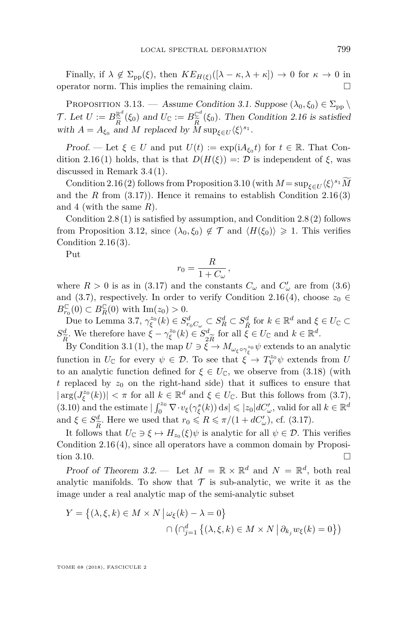Finally, if  $\lambda \notin \Sigma_{\text{pp}}(\xi)$ , then  $KE_{H(\xi)}([\lambda - \kappa, \lambda + \kappa]) \to 0$  for  $\kappa \to 0$  in operator norm. This implies the remaining claim.

<span id="page-33-0"></span>PROPOSITION 3.13. — Assume Condition [3.1.](#page-24-1) Suppose  $(\lambda_0, \xi_0) \in \Sigma_{\text{pp}}$ T. Let  $U := B_{\widetilde{\rho}}^{\mathbb{R}^d}(\xi_0)$  and  $U_{\mathbb{C}} := B_{\widetilde{\rho}}^{\mathbb{C}^d}(\xi_0)$ . Then Condition [2.16](#page-21-1) is satisfied with  $A = A_{\xi_0}$  and *M* replaced by  $\overline{M}$  sup<sub> $\xi \in U$ </sub>  $\langle \xi \rangle^{s_1}$ .

Proof. — Let  $\xi \in U$  and put  $U(t) := \exp(iA_{\xi_0}t)$  for  $t \in \mathbb{R}$ . That Con-dition [2.16](#page-21-1)[\(1\)](#page-21-4) holds, that is that  $D(H(\xi)) =: \mathcal{D}$  is independent of  $\xi$ , was discussed in Remark [3.4](#page-26-5)[\(1\)](#page-26-6).

Condition [2.16](#page-21-1)[\(2\)](#page-21-5) follows from Proposition [3.10](#page-30-1) (with  $M = \sup_{\xi \in U} \langle \xi \rangle^{s_1} M$ and the *R* from  $(3.17)$ ). Hence it remains to establish Condition [2.16](#page-21-1)[\(3\)](#page-21-6) and [4](#page-21-7) (with the same *R*).

Condition  $2.8(1)$  $2.8(1)$  is satisfied by assumption, and Condition  $2.8(2)$  $2.8(2)$  follows from Proposition [3.12,](#page-32-2) since  $(\lambda_0, \xi_0) \notin \mathcal{T}$  and  $\langle H(\xi_0) \rangle \geq 1$ . This verifies Condition  $2.16(3)$  $2.16(3)$ .

Put

$$
r_0 = \frac{R}{1 + C_{\omega}},
$$

where  $R > 0$  is as in [\(3.17\)](#page-29-2) and the constants  $C_{\omega}$  and  $C'_{\omega}$  are from [\(3.6\)](#page-26-2) and [\(3.7\)](#page-26-3), respectively. In order to verify Condition [2.16\(](#page-21-1)[4\)](#page-21-7), choose  $z_0 \in$  $B_{r_0}^{\mathbb{C}}(0) \subset B_R^{\mathbb{C}}(0)$  with  $\text{Im}(z_0) > 0$ .

Due to Lemma [3.7,](#page-27-3)  $\gamma_{\xi}^{z_0}(k) \in S_{r_0C_\omega}^d \subset S_R^d \subset S_{\tilde{R}}^d$  for  $k \in \mathbb{R}^d$  and  $\xi \in U_{\mathbb{C}} \subset$ *R*˜  $S^d_{\widetilde{\tau}}$ . We therefore have  $\zeta - \gamma_{\xi}^{z_0}(k) \in S_q^d$ for all  $\xi \in U_{\mathbb{C}}$  and  $k \in \mathbb{R}^d$ .

*R*e  $\frac{2R}{\epsilon}$ By Condition [3.1](#page-24-1)[\(1\)](#page-24-4), the map  $U \ni \xi \to M_{\omega_{\xi} \circ \gamma_{\xi}^{z_0}} \psi$  extends to an analytic function in  $U_{\mathbb{C}}$  for every  $\psi \in \mathcal{D}$ . To see that  $\tilde{\xi} \to T_V^{z_0} \psi$  extends from *U* to an analytic function defined for  $\xi \in U_{\mathbb{C}}$ , we observe from [\(3.18\)](#page-29-0) (with  $t$  replaced by  $z_0$  on the right-hand side) that it suffices to ensure that  $|\arg(J_{\xi}^{z_0}(k))| < \pi$  for all  $k \in \mathbb{R}^d$  and  $\xi \in U_{\mathbb{C}}$ . But this follows from [\(3.7\)](#page-26-3),  $(3.10)$  and the estimate  $|\int_0^{z_0} \nabla \cdot v_{\xi}(\gamma_{\xi}^s(k)) ds| \leqslant |z_0| dC'_{\omega}$ , valid for all  $k \in \mathbb{R}^d$ and  $\xi \in S^d_{\widetilde{R}}$ . Here we used that  $r_0 \leqslant R \leqslant \pi/(1 + dC'_{\omega})$ , cf. [\(3.17\)](#page-29-2).

It follows that  $U_{\mathbb{C}} \ni \xi \mapsto H_{z_0}(\xi)\psi$  is analytic for all  $\psi \in \mathcal{D}$ . This verifies Condition [2.16](#page-21-1)[\(4\)](#page-21-7), since all operators have a common domain by Proposi-tion [3.10.](#page-30-1)  $\Box$ 

Proof of Theorem [3.2.](#page-25-1) — Let  $M = \mathbb{R} \times \mathbb{R}^d$  and  $N = \mathbb{R}^d$ , both real analytic manifolds. To show that  $\mathcal T$  is sub-analytic, we write it as the image under a real analytic map of the semi-analytic subset

$$
Y = \{ (\lambda, \xi, k) \in M \times N \mid \omega_{\xi}(k) - \lambda = 0 \}
$$

$$
\cap \left( \cap_{j=1}^{d} \{ (\lambda, \xi, k) \in M \times N \mid \partial_{k_j} w_{\xi}(k) = 0 \} \right)
$$

TOME 68 (2018), FASCICULE 2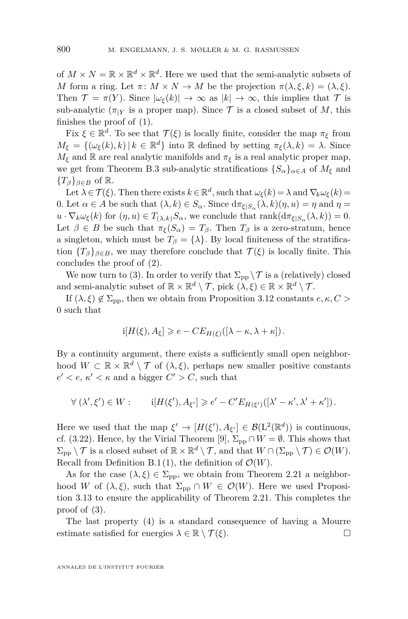of  $M \times N = \mathbb{R} \times \mathbb{R}^d \times \mathbb{R}^d$ . Here we used that the semi-analytic subsets of *M* form a ring. Let  $\pi \colon M \times N \to M$  be the projection  $\pi(\lambda, \xi, k) = (\lambda, \xi)$ . Then  $\mathcal{T} = \pi(Y)$ . Since  $|\omega_{\xi}(k)| \to \infty$  as  $|k| \to \infty$ , this implies that  $\mathcal{T}$  is sub-analytic ( $\pi_{|Y}$  is a proper map). Since  $\mathcal T$  is a closed subset of M, this finishes the proof of [\(1\)](#page-25-2).

Fix  $\xi \in \mathbb{R}^d$ . To see that  $\mathcal{T}(\xi)$  is locally finite, consider the map  $\pi_{\xi}$  from  $M_{\xi} = \{(\omega_{\xi}(k), k) | k \in \mathbb{R}^d\}$  into R defined by setting  $\pi_{\xi}(\lambda, k) = \lambda$ . Since  $M_{\xi}$  and  $\mathbb{R}$  are real analytic manifolds and  $\pi_{\xi}$  is a real analytic proper map, we get from Theorem [B.3](#page-36-1) sub-analytic stratifications  ${S_\alpha}_{\alpha \in A}$  of  $M_\xi$  and  ${T_{\beta}}_{\beta \in B}$  of R.

Let  $\lambda \in \mathcal{T}(\xi)$ . Then there exists  $k \in \mathbb{R}^d$ , such that  $\omega_{\xi}(k) = \lambda$  and  $\nabla_k \omega_{\xi}(k) =$ 0. Let  $\alpha \in A$  be such that  $(\lambda, k) \in S_\alpha$ . Since  $d\pi_{\xi|S_\alpha}(\lambda, k)(\eta, u) = \eta$  and  $\eta =$  $u \cdot \nabla_k \omega_{\xi}(k)$  for  $(\eta, u) \in T_{(\lambda, k)} S_\alpha$ , we conclude that  $\text{rank}(d\pi_{\xi|S_\alpha}(\lambda, k)) = 0$ . Let  $\beta \in B$  be such that  $\pi_{\xi}(S_{\alpha}) = T_{\beta}$ . Then  $T_{\beta}$  is a zero-stratum, hence a singleton, which must be  $T_\beta = \{\lambda\}$ . By local finiteness of the stratification  ${T_\beta}_{\beta \in B}$ , we may therefore conclude that  $\mathcal{T}(\xi)$  is locally finite. This concludes the proof of [\(2\)](#page-25-3).

We now turn to [\(3\)](#page-25-0). In order to verify that  $\Sigma_{\rm pp} \backslash \mathcal{T}$  is a (relatively) closed and semi-analytic subset of  $\mathbb{R} \times \mathbb{R}^d \setminus \mathcal{T}$ , pick  $(\lambda, \xi) \in \mathbb{R} \times \mathbb{R}^d \setminus \mathcal{T}$ .

If  $(\lambda, \xi) \notin \Sigma_{\text{pp}}$ , then we obtain from Proposition [3.12](#page-32-2) constants  $e, \kappa, C >$ 0 such that

$$
i[H(\xi), A_{\xi}] \geqslant e - CE_{H(\xi)}([\lambda - \kappa, \lambda + \kappa]).
$$

By a continuity argument, there exists a sufficiently small open neighborhood  $W \subset \mathbb{R} \times \mathbb{R}^d \setminus \mathcal{T}$  of  $(\lambda, \xi)$ , perhaps new smaller positive constants  $e' < e, \, \kappa' < \kappa$  and a bigger  $C' > C$ , such that

$$
\forall (\lambda', \xi') \in W: \qquad \mathrm{i}[H(\xi'), A_{\xi'}] \geq e' - C' E_{H(\xi')}([\lambda' - \kappa', \lambda' + \kappa']).
$$

Here we used that the map  $\xi' \to [H(\xi'), A_{\xi'}] \in \mathcal{B}(\mathcal{L}^2(\mathbb{R}^d))$  is continuous, cf. [\(3.22\)](#page-31-0). Hence, by the Virial Theorem [\[9\]](#page-37-13),  $\Sigma_{\text{pp}} \cap W = \emptyset$ . This shows that  $\Sigma_{\text{pp}} \setminus \mathcal{T}$  is a closed subset of  $\mathbb{R} \times \mathbb{R}^d \setminus \mathcal{T}$ , and that  $W \cap (\Sigma_{\text{pp}} \setminus \mathcal{T}) \in \mathcal{O}(W)$ . Recall from Definition [B.1](#page-35-2)[\(1\)](#page-35-3), the definition of  $\mathcal{O}(W)$ .

As for the case  $(\lambda, \xi) \in \Sigma_{\text{pp}}$ , we obtain from Theorem [2.21](#page-23-0) a neighborhood *W* of  $(\lambda, \xi)$ , such that  $\Sigma_{\text{pp}} \cap W \in \mathcal{O}(W)$ . Here we used Proposition [3.13](#page-33-0) to ensure the applicability of Theorem [2.21.](#page-23-0) This completes the proof of [\(3\)](#page-25-0).

The last property [\(4\)](#page-25-4) is a standard consequence of having a Mourre estimate satisfied for energies  $\lambda \in \mathbb{R} \setminus \mathcal{T}(\xi)$ .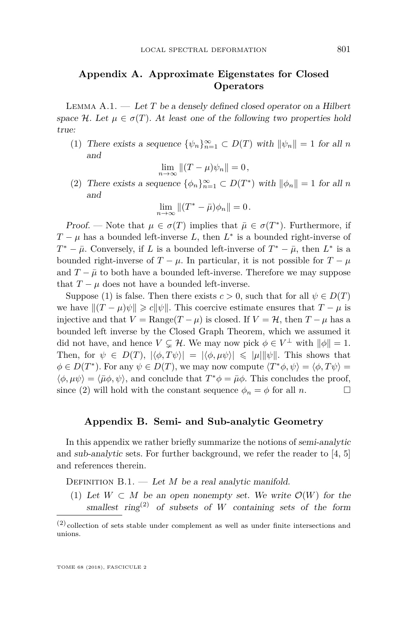#### **Appendix A. Approximate Eigenstates for Closed Operators**

<span id="page-35-0"></span>Lemma A.1. — Let *T* be a densely defined closed operator on a Hilbert space H. Let  $\mu \in \sigma(T)$ . At least one of the following two properties hold true:

<span id="page-35-4"></span>(1) There exists a sequence  $\{\psi_n\}_{n=1}^{\infty} \subset D(T)$  with  $\|\psi_n\| = 1$  for all *n* and

$$
\lim_{n \to \infty} \|(T - \mu)\psi_n\| = 0,
$$

<span id="page-35-5"></span>(2) There exists a sequence  $\{\phi_n\}_{n=1}^{\infty} \subset D(T^*)$  with  $\|\phi_n\| = 1$  for all *n* and

$$
\lim_{n \to \infty} \|(T^* - \bar{\mu})\phi_n\| = 0.
$$

*Proof.* — Note that  $\mu \in \sigma(T)$  implies that  $\bar{\mu} \in \sigma(T^*)$ . Furthermore, if  $T - \mu$  has a bounded left-inverse *L*, then  $L^*$  is a bounded right-inverse of  $T^* - \bar{\mu}$ . Conversely, if *L* is a bounded left-inverse of  $T^* - \bar{\mu}$ , then  $L^*$  is a bounded right-inverse of  $T - \mu$ . In particular, it is not possible for  $T - \mu$ and  $T - \bar{\mu}$  to both have a bounded left-inverse. Therefore we may suppose that  $T - \mu$  does not have a bounded left-inverse.

Suppose [\(1\)](#page-35-4) is false. Then there exists  $c > 0$ , such that for all  $\psi \in D(T)$ we have  $||(T - \mu)\psi|| \ge c||\psi||$ . This coercive estimate ensures that  $T - \mu$  is injective and that  $V = \text{Range}(T - \mu)$  is closed. If  $V = H$ , then  $T - \mu$  has a bounded left inverse by the Closed Graph Theorem, which we assumed it did not have, and hence  $V \subsetneq \mathcal{H}$ . We may now pick  $\phi \in V^{\perp}$  with  $\|\phi\| = 1$ . Then, for  $\psi \in D(T)$ ,  $|\langle \phi, T\psi \rangle| = |\langle \phi, \mu \psi \rangle| \leq |\mu| |\psi|$ . This shows that  $\phi \in D(T^*)$ . For any  $\psi \in D(T)$ , we may now compute  $\langle T^*\phi, \psi \rangle = \langle \phi, T\psi \rangle =$  $\langle \phi, \mu \psi \rangle = \langle \bar{\mu} \phi, \psi \rangle$ , and conclude that  $T^* \phi = \bar{\mu} \phi$ . This concludes the proof, since [\(2\)](#page-35-5) will hold with the constant sequence  $\phi_n = \phi$  for all *n*.

#### **Appendix B. Semi- and Sub-analytic Geometry**

<span id="page-35-1"></span>In this appendix we rather briefly summarize the notions of semi-analytic and sub-analytic sets. For further background, we refer the reader to  $[4, 5]$  $[4, 5]$  $[4, 5]$ and references therein.

<span id="page-35-3"></span><span id="page-35-2"></span>DEFINITION  $B.1.$  — Let *M* be a real analytic manifold.

(1) Let  $W \subset M$  be an open nonempty set. We write  $\mathcal{O}(W)$  for the smallest ring<sup>(2)</sup> of subsets of *W* containing sets of the form

<sup>(2)</sup> collection of sets stable under complement as well as under finite intersections and unions.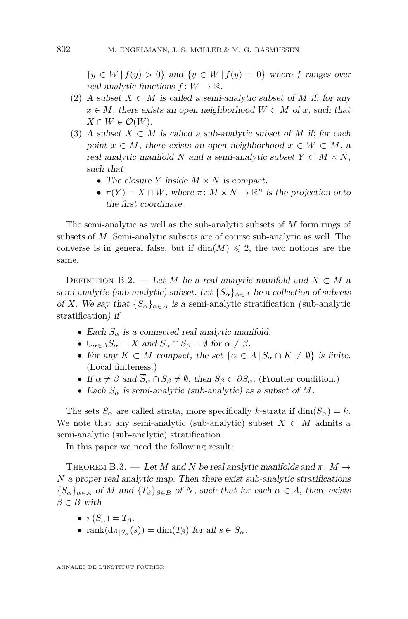$\{y \in W \mid f(y) > 0\}$  and  $\{y \in W \mid f(y) = 0\}$  where *f* ranges over real analytic functions  $f: W \to \mathbb{R}$ .

- <span id="page-36-0"></span>(2) A subset  $X \subset M$  is called a semi-analytic subset of M if: for any  $x \in M$ , there exists an open neighborhood  $W \subset M$  of *x*, such that  $X \cap W \in \mathcal{O}(W)$ .
- (3) A subset  $X \subset M$  is called a sub-analytic subset of M if: for each point  $x \in M$ , there exists an open neighborhood  $x \in W \subset M$ , a real analytic manifold *N* and a semi-analytic subset  $Y \subset M \times N$ , such that
	- The closure  $\overline{Y}$  inside  $M \times N$  is compact.
	- $\pi(Y) = X \cap W$ , where  $\pi: M \times N \to \mathbb{R}^n$  is the projection onto the first coordinate.

The semi-analytic as well as the sub-analytic subsets of *M* form rings of subsets of *M*. Semi-analytic subsets are of course sub-analytic as well. The converse is in general false, but if  $\dim(M) \leq 2$ , the two notions are the same.

DEFINITION B.2. — Let *M* be a real analytic manifold and  $X \subset M$  a semi-analytic (sub-analytic) subset. Let  ${S_\alpha}_{\alpha \in A}$  be a collection of subsets of *X*. We say that  ${S_{\alpha}}_{\alpha \in A}$  is a semi-analytic stratification (sub-analytic stratification) if

- Each  $S_\alpha$  is a connected real analytic manifold.
- $\bigcup_{\alpha \in A} S_{\alpha} = X$  and  $S_{\alpha} \cap S_{\beta} = \emptyset$  for  $\alpha \neq \beta$ .
- For any  $K \subset M$  compact, the set  $\{\alpha \in A \mid S_\alpha \cap K \neq \emptyset\}$  is finite. (Local finiteness.)
- If  $\alpha \neq \beta$  and  $\overline{S}_{\alpha} \cap S_{\beta} \neq \emptyset$ , then  $S_{\beta} \subset \partial S_{\alpha}$ . (Frontier condition.)
- Each *S<sup>α</sup>* is semi-analytic (sub-analytic) as a subset of *M*.

The sets  $S_\alpha$  are called strata, more specifically *k*-strata if  $\dim(S_\alpha) = k$ . We note that any semi-analytic (sub-analytic) subset  $X \subset M$  admits a semi-analytic (sub-analytic) stratification.

In this paper we need the following result:

<span id="page-36-1"></span>THEOREM B.3. — Let M and N be real analytic manifolds and  $\pi \colon M \to$ *N* a proper real analytic map. Then there exist sub-analytic stratifications  ${S_{\alpha}}_{\alpha \in A}$  of *M* and  ${T_{\beta}}_{\beta \in B}$  of *N*, such that for each  $\alpha \in A$ , there exists  $\beta \in B$  with

- $\pi(S_\alpha) = T_\beta$ .
- $\text{rank}(d\pi_{|S_\alpha}(s)) = \dim(T_\beta) \text{ for all } s \in S_\alpha.$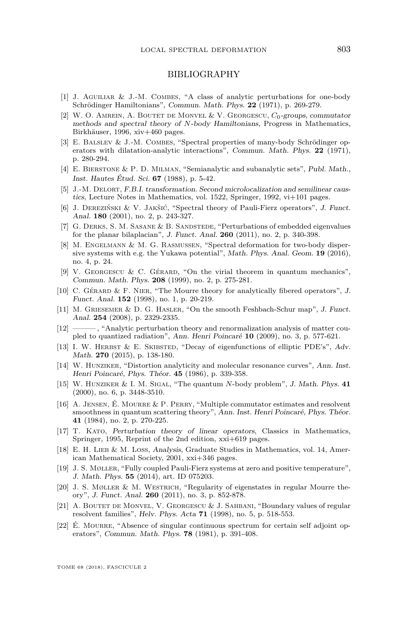#### BIBLIOGRAPHY

- <span id="page-37-0"></span>[1] J. AGUILIAR  $&$  J.-M. COMBES, "A class of analytic perturbations for one-body Schrödinger Hamiltonians", Commun. Math. Phys. **22** (1971), p. 269-279.
- <span id="page-37-10"></span>[2] W. O. Amrein, A. Boutet de Monvel & V. Georgescu, *C*0-groups, commutator methods and spectral theory of *N*-body Hamiltonians, Progress in Mathematics, Birkhäuser, 1996, xiv+460 pages.
- <span id="page-37-1"></span>[3] E. Balslev & J.-M. Combes, "Spectral properties of many-body Schrödinger operators with dilatation-analytic interactions", Commun. Math. Phys. **22** (1971), p. 280-294.
- <span id="page-37-17"></span>[4] E. Bierstone & P. D. Milman, "Semianalytic and subanalytic sets", Publ. Math., Inst. Hautes Étud. Sci. **67** (1988), p. 5-42.
- <span id="page-37-21"></span>[5] J.-M. Delort, F.B.I. transformation. Second microlocalization and semilinear caustics, Lecture Notes in Mathematics, vol. 1522, Springer, 1992, vi+101 pages.
- <span id="page-37-14"></span>[6] J. Dereziński & V. Jakšić, "Spectral theory of Pauli-Fierz operators", J. Funct. Anal. **180** (2001), no. 2, p. 243-327.
- <span id="page-37-8"></span>[7] G. Derks, S. M. Sasane & B. Sandstede, "Perturbations of embedded eigenvalues for the planar bilaplacian", J. Funct. Anal. **260** (2011), no. 2, p. 340-398.
- <span id="page-37-20"></span>[8] M. Engelmann & M. G. Rasmussen, "Spectral deformation for two-body dispersive systems with e.g. the Yukawa potential", Math. Phys. Anal. Geom. **19** (2016), no. 4, p. 24.
- <span id="page-37-13"></span>[9] V. Georgescu & C. Gérard, "On the virial theorem in quantum mechanics", Commun. Math. Phys. **208** (1999), no. 2, p. 275-281.
- <span id="page-37-16"></span>[10] C. Gérard & F. Nier, "The Mourre theory for analytically fibered operators", J. Funct. Anal. **152** (1998), no. 1, p. 20-219.
- <span id="page-37-15"></span>[11] M. Griesemer & D. G. Hasler, "On the smooth Feshbach-Schur map", J. Funct. Anal. **254** (2008), p. 2329-2335.
- <span id="page-37-9"></span>[12] ——— , "Analytic perturbation theory and renormalization analysis of matter coupled to quantized radiation", Ann. Henri Poincaré **10** (2009), no. 3, p. 577-621.
- <span id="page-37-18"></span>[13] I. W. HERBST & E. SKIBSTED, "Decay of eigenfunctions of elliptic PDE's", Adv. Math. **270** (2015), p. 138-180.
- <span id="page-37-4"></span>[14] W. HUNZIKER, "Distortion analyticity and molecular resonance curves", Ann. Inst. Henri Poincaré, Phys. Théor. **45** (1986), p. 339-358.
- <span id="page-37-3"></span>[15] W. Hunziker & I. M. Sigal, "The quantum *N*-body problem", J. Math. Phys. **41** (2000), no. 6, p. 3448-3510.
- <span id="page-37-7"></span>[16] A. Jensen, É. Mourre & P. Perry, "Multiple commutator estimates and resolvent smoothness in quantum scattering theory", Ann. Inst. Henri Poincaré, Phys. Théor. **41** (1984), no. 2, p. 270-225.
- <span id="page-37-2"></span>[17] T. Kato, Perturbation theory of linear operators, Classics in Mathematics, Springer, 1995, Reprint of the 2nd edition, xxi+619 pages.
- <span id="page-37-19"></span>[18] E. H. LIEB & M. LOSS, Analysis, Graduate Studies in Mathematics, vol. 14, American Mathematical Society, 2001, xxi+346 pages.
- <span id="page-37-11"></span>[19] J. S. Møller, "Fully coupled Pauli-Fierz systems at zero and positive temperature", J. Math. Phys. **55** (2014), art. ID 075203.
- <span id="page-37-12"></span>[20] J. S. Møller & M. Westrich, "Regularity of eigenstates in regular Mourre theory", J. Funct. Anal. **260** (2011), no. 3, p. 852-878.
- <span id="page-37-6"></span>[21] A. BOUTET DE MONVEL, V. GEORGESCU  $&$  J. SAHBANI, "Boundary values of regular resolvent families", Helv. Phys. Acta **71** (1998), no. 5, p. 518-553.
- <span id="page-37-5"></span>[22] É. MOURRE, "Absence of singular continuous spectrum for certain self adjoint operators", Commun. Math. Phys. **78** (1981), p. 391-408.